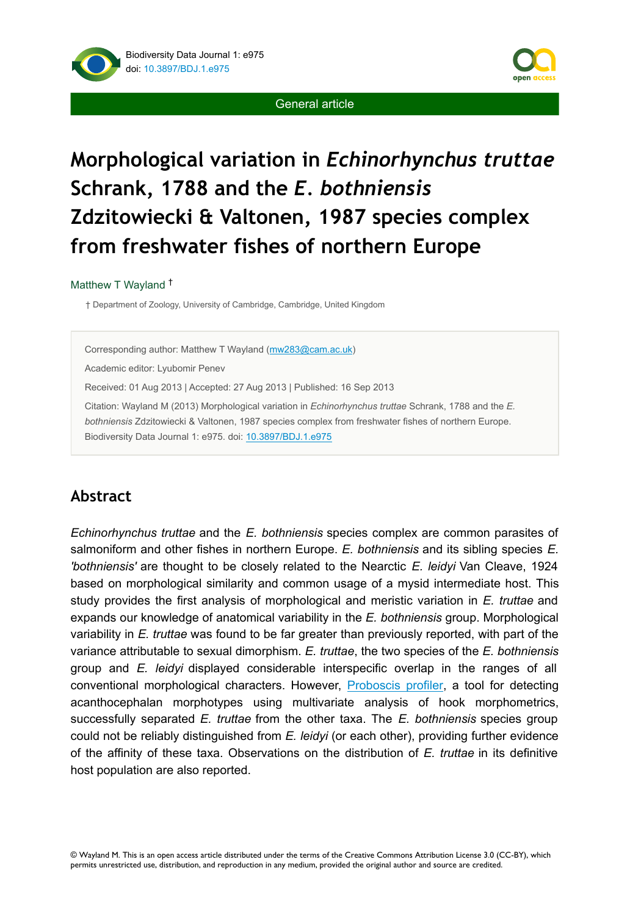General article



# **Morphological variation in** *Echinorhynchus truttae* **Schrank, 1788 and the** *E. bothniensis* **Zdzitowiecki & Valtonen, 1987 species complex from freshwater fishes of northern Europe**

#### Matthew T Wayland <sup>†</sup>

† Department of Zoology, University of Cambridge, Cambridge, United Kingdom

Corresponding author: Matthew T Wayland [\(mw283@cam.ac.uk\)](mailto:mw283@cam.ac.uk)

Academic editor: Lyubomir Penev

Received: 01 Aug 2013 | Accepted: 27 Aug 2013 | Published: 16 Sep 2013

Citation: Wayland M (2013) Morphological variation in *Echinorhynchus truttae* Schrank, 1788 and the *E. bothniensis* Zdzitowiecki & Valtonen, 1987 species complex from freshwater fishes of northern Europe. Biodiversity Data Journal 1: e975. doi: [10.3897/BDJ.1.e975](http://dx.doi.org/10.3897/BDJ.1.e975)

# **Abstract**

*Echinorhynchus truttae* and the *E. bothniensis* species complex are common parasites of salmoniform and other fishes in northern Europe. *E. bothniensis* and its sibling species *E. 'bothniensis'* are thought to be closely related to the Nearctic *E. leidyi* Van Cleave, 1924 based on morphological similarity and common usage of a mysid intermediate host. This study provides the first analysis of morphological and meristic variation in *E. truttae* and expands our knowledge of anatomical variability in the *E. bothniensis* group. Morphological variability in *E. truttae* was found to be far greater than previously reported, with part of the variance attributable to sexual dimorphism. *E. truttae*, the two species of the *E. bothniensis* group and *E. leidyi* displayed considerable interspecific overlap in the ranges of all conventional morphological characters. However, [Proboscis profiler](http://acanthocephala.sourceforge.net/), a tool for detecting acanthocephalan morphotypes using multivariate analysis of hook morphometrics, successfully separated *E. truttae* from the other taxa. The *E. bothniensis* species group could not be reliably distinguished from *E. leidyi* (or each other), providing further evidence of the affinity of these taxa. Observations on the distribution of *E. truttae* in its definitive host population are also reported.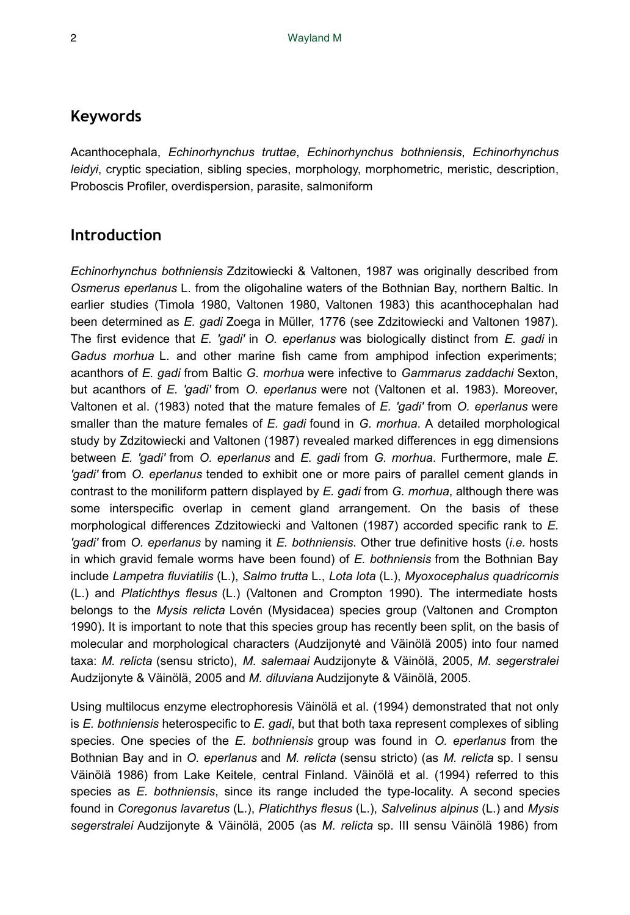# **Keywords**

Acanthocephala, *Echinorhynchus truttae*, *Echinorhynchus bothniensis*, *Echinorhynchus leidyi*, cryptic speciation, sibling species, morphology, morphometric, meristic, description, Proboscis Profiler, overdispersion, parasite, salmoniform

# **Introduction**

*Echinorhynchus bothniensis* Zdzitowiecki & Valtonen, 1987 was originally described from *Osmerus eperlanus* L. from the oligohaline waters of the Bothnian Bay, northern Baltic. In earlier studies (Timola 1980, Valtonen 1980, Valtonen 1983) this acanthocephalan had been determined as *E. gadi* Zoega in Müller, 1776 (see Zdzitowiecki and Valtonen 1987). The first evidence that *E. 'gadi'* in *O. eperlanus* was biologically distinct from *E. gadi* in *Gadus morhua* L. and other marine fish came from amphipod infection experiments; acanthors of *E. gadi* from Baltic *G. morhua* were infective to *Gammarus zaddachi* Sexton, but acanthors of *E. 'gadi'* from *O. eperlanus* were not (Valtonen et al. 1983). Moreover, Valtonen et al. (1983) noted that the mature females of *E. 'gadi'* from *O. eperlanus* were smaller than the mature females of *E. gadi* found in *G. morhua*. A detailed morphological study by Zdzitowiecki and Valtonen (1987) revealed marked differences in egg dimensions between *E. 'gadi'* from *O. eperlanus* and *E. gadi* from *G. morhua*. Furthermore, male *E. 'gadi'* from *O. eperlanus* tended to exhibit one or more pairs of parallel cement glands in contrast to the moniliform pattern displayed by *E. gadi* from *G. morhua*, although there was some interspecific overlap in cement gland arrangement. On the basis of these morphological differences Zdzitowiecki and Valtonen (1987) accorded specific rank to *E. 'gadi'* from *O. eperlanus* by naming it *E. bothniensis*. Other true definitive hosts (*i.e.* hosts in which gravid female worms have been found) of *E. bothniensis* from the Bothnian Bay include *Lampetra fluviatilis* (L.), *Salmo trutta* L., *Lota lota* (L.), *Myoxocephalus quadricornis* (L.) and *Platichthys flesus* (L.) (Valtonen and Crompton 1990). The intermediate hosts belongs to the *Mysis relicta* Lovén (Mysidacea) species group (Valtonen and Crompton 1990). It is important to note that this species group has recently been split, on the basis of molecular and morphological characters (Audzijonytė and Väinölä 2005) into four named taxa: *M. relicta* (sensu stricto), *M. salemaai* Audzijonyte & Väinölä, 2005, *M. segerstralei* Audzijonyte & Väinölä, 2005 and *M. diluviana* Audzijonyte & Väinölä, 2005.

Using multilocus enzyme electrophoresis Väinölä et al. (1994) demonstrated that not only is *E. bothniensis* heterospecific to *E. gadi*, but that both taxa represent complexes of sibling species. One species of the *E. bothniensis* group was found in *O. eperlanus* from the Bothnian Bay and in *O. eperlanus* and *M. relicta* (sensu stricto) (as *M. relicta* sp. I sensu Väinölä 1986) from Lake Keitele, central Finland. Väinölä et al. (1994) referred to this species as *E. bothniensis*, since its range included the type-locality. A second species found in *Coregonus lavaretus* (L.), *Platichthys flesus* (L.), *Salvelinus alpinus* (L.) and *Mysis segerstralei* Audzijonyte & Väinölä, 2005 (as *M. relicta* sp. III sensu Väinölä 1986) from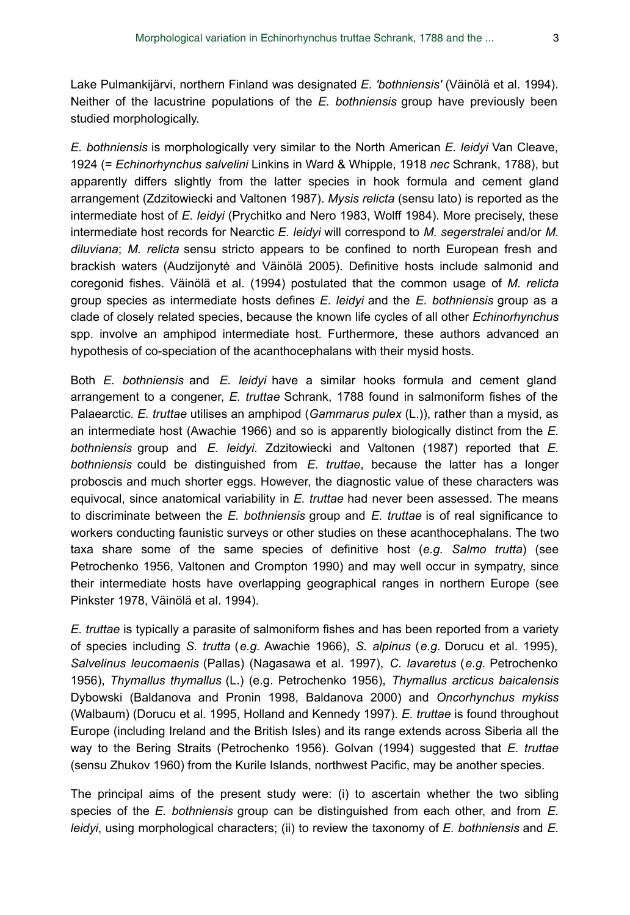Lake Pulmankijärvi, northern Finland was designated *E. 'bothniensis'* (Väinölä et al. 1994). Neither of the lacustrine populations of the *E. bothniensis* group have previously been studied morphologically.

*E. bothniensis* is morphologically very similar to the North American *E. leidyi* Van Cleave, 1924 (= *Echinorhynchus salvelini* Linkins in Ward & Whipple, 1918 *nec* Schrank, 1788), but apparently differs slightly from the latter species in hook formula and cement gland arrangement (Zdzitowiecki and Valtonen 1987). *Mysis relicta* (sensu lato) is reported as the intermediate host of *E. leidyi* (Prychitko and Nero 1983, Wolff 1984). More precisely, these intermediate host records for Nearctic *E. leidyi* will correspond to *M. segerstralei* and/or *M. diluviana*; *M. relicta* sensu stricto appears to be confined to north European fresh and brackish waters (Audzijonytė and Väinölä 2005). Definitive hosts include salmonid and coregonid fishes. Väinölä et al. (1994) postulated that the common usage of *M. relicta* group species as intermediate hosts defines *E. leidyi* and the *E. bothniensis* group as a clade of closely related species, because the known life cycles of all other *Echinorhynchus* spp. involve an amphipod intermediate host. Furthermore, these authors advanced an hypothesis of co-speciation of the acanthocephalans with their mysid hosts.

Both *E. bothniensis* and *E. leidyi* have a similar hooks formula and cement gland arrangement to a congener, *E. truttae* Schrank, 1788 found in salmoniform fishes of the Palaearctic. *E. truttae* utilises an amphipod (*Gammarus pulex* (L.)), rather than a mysid, as an intermediate host (Awachie 1966) and so is apparently biologically distinct from the *E. bothniensis* group and *E. leidyi*. Zdzitowiecki and Valtonen (1987) reported that *E. bothniensis* could be distinguished from *E. truttae*, because the latter has a longer proboscis and much shorter eggs. However, the diagnostic value of these characters was equivocal, since anatomical variability in *E. truttae* had never been assessed. The means to discriminate between the *E. bothniensis* group and *E. truttae* is of real significance to workers conducting faunistic surveys or other studies on these acanthocephalans. The two taxa share some of the same species of definitive host (*e.g. Salmo trutta*) (see Petrochenko 1956, Valtonen and Crompton 1990) and may well occur in sympatry, since their intermediate hosts have overlapping geographical ranges in northern Europe (see Pinkster 1978, Väinölä et al. 1994).

*E. truttae* is typically a parasite of salmoniform fishes and has been reported from a variety of species including *S. trutta* (*e.g.* Awachie 1966), *S. alpinus* (*e.g.* Dorucu et al. 1995), *Salvelinus leucomaenis* (Pallas) (Nagasawa et al. 1997), *C. lavaretus* (*e.g.* Petrochenko 1956), *Thymallus thymallus* (L.) (e.g. Petrochenko 1956), *Thymallus arcticus baicalensis* Dybowski (Baldanova and Pronin 1998, Baldanova 2000) and *Oncorhynchus mykiss* (Walbaum) (Dorucu et al. 1995, Holland and Kennedy 1997). *E. truttae* is found throughout Europe (including Ireland and the British Isles) and its range extends across Siberia all the way to the Bering Straits (Petrochenko 1956). Golvan (1994) suggested that *E. truttae* (sensu Zhukov 1960) from the Kurile Islands, northwest Pacific, may be another species.

The principal aims of the present study were: (i) to ascertain whether the two sibling species of the *E. bothniensis* group can be distinguished from each other, and from *E. leidyi*, using morphological characters; (ii) to review the taxonomy of *E. bothniensis* and *E.*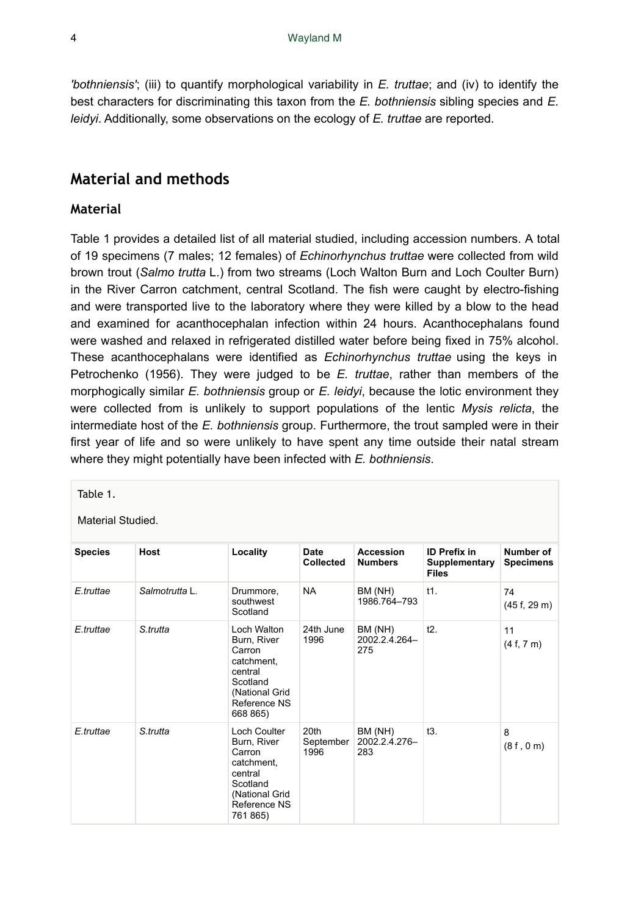*'bothniensis'*; (iii) to quantify morphological variability in *E. truttae*; and (iv) to identify the best characters for discriminating this taxon from the *E. bothniensis* sibling species and *E. leidyi*. Additionally, some observations on the ecology of *E. truttae* are reported.

# **Material and methods**

# **Material**

Table 1 provides a detailed list of all material studied, including accession numbers. A total of 19 specimens (7 males; 12 females) of *Echinorhynchus truttae* were collected from wild brown trout (*Salmo trutta* L.) from two streams (Loch Walton Burn and Loch Coulter Burn) in the River Carron catchment, central Scotland. The fish were caught by electro-fishing and were transported live to the laboratory where they were killed by a blow to the head and examined for acanthocephalan infection within 24 hours. Acanthocephalans found were washed and relaxed in refrigerated distilled water before being fixed in 75% alcohol. These acanthocephalans were identified as *Echinorhynchus truttae* using the keys in Petrochenko (1956). They were judged to be *E. truttae*, rather than members of the morphogically similar *E. bothniensis* group or *E. leidyi*, because the lotic environment they were collected from is unlikely to support populations of the lentic *Mysis relicta*, the intermediate host of the *E. bothniensis* group. Furthermore, the trout sampled were in their first year of life and so were unlikely to have spent any time outside their natal stream where they might potentially have been infected with *E. bothniensis*.

| Table 1.          |                |                                                                                                                                 |                           |                                    |                                                      |                               |  |
|-------------------|----------------|---------------------------------------------------------------------------------------------------------------------------------|---------------------------|------------------------------------|------------------------------------------------------|-------------------------------|--|
| Material Studied. |                |                                                                                                                                 |                           |                                    |                                                      |                               |  |
| <b>Species</b>    | <b>Host</b>    | Locality                                                                                                                        | Date<br>Collected         | <b>Accession</b><br><b>Numbers</b> | <b>ID Prefix in</b><br>Supplementary<br><b>Files</b> | Number of<br><b>Specimens</b> |  |
| E.truttae         | Salmotrutta L. | Drummore,<br>southwest<br>Scotland                                                                                              | <b>NA</b>                 | BM (NH)<br>1986.764-793            | t1.                                                  | 74<br>(45 f, 29 m)            |  |
| E.truttae         | S.trutta       | Loch Walton<br>Burn, River<br>Carron<br>catchment.<br>central<br>Scotland<br>(National Grid<br>Reference NS<br>668 865)         | 24th June<br>1996         | BM (NH)<br>2002.2.4.264-<br>275    | t2.                                                  | 11<br>(4 f, 7 m)              |  |
| E.truttae         | S.trutta       | <b>Loch Coulter</b><br>Burn, River<br>Carron<br>catchment,<br>central<br>Scotland<br>(National Grid<br>Reference NS<br>761 865) | 20th<br>September<br>1996 | BM (NH)<br>2002.2.4.276-<br>283    | t3.                                                  | 8<br>(8f, 0m)                 |  |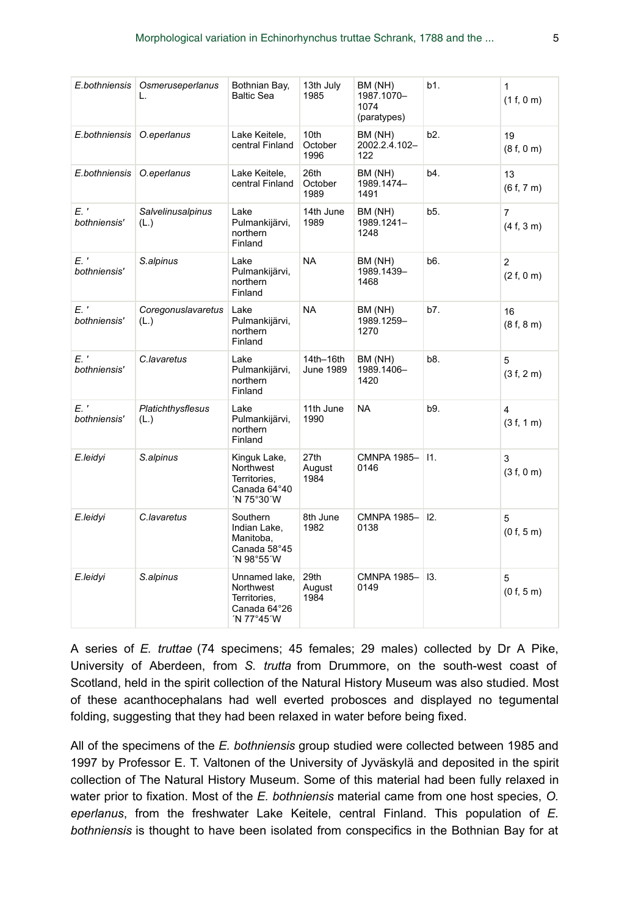| E.bothniensis       | Osmeruseperlanus<br>L.     | Bothnian Bay,<br><b>Baltic Sea</b>                                       | 13th July<br>1985             | BM (NH)<br>1987.1070-<br>1074<br>(paratypes) | b1. | 1<br>(1 f, 0 m)              |
|---------------------|----------------------------|--------------------------------------------------------------------------|-------------------------------|----------------------------------------------|-----|------------------------------|
| E.bothniensis       | O.eperlanus                | Lake Keitele,<br>central Finland                                         | 10th<br>October<br>1996       | BM (NH)<br>2002.2.4.102-<br>122              | b2. | 19<br>(8 f, 0 m)             |
| E.bothniensis       | O.eperlanus                | Lake Keitele,<br>central Finland                                         | 26th<br>October<br>1989       | BM (NH)<br>1989.1474-<br>1491                | b4. | 13<br>(6 f, 7 m)             |
| E.'<br>bothniensis' | Salvelinusalpinus<br>(L.)  | Lake<br>Pulmankijärvi,<br>northern<br>Finland                            | 14th June<br>1989             | BM (NH)<br>1989.1241-<br>1248                | b5. | $\overline{7}$<br>(4 f, 3 m) |
| E.'<br>bothniensis' | S.alpinus                  | Lake<br>Pulmankijärvi,<br>northern<br>Finland                            | <b>NA</b>                     | BM (NH)<br>1989.1439-<br>1468                | b6. | $\overline{2}$<br>(2 f, 0 m) |
| E.'<br>bothniensis' | Coregonuslavaretus<br>(L.) | Lake<br>Pulmankijärvi,<br>northern<br>Finland                            | <b>NA</b>                     | BM (NH)<br>1989.1259-<br>1270                | b7. | 16<br>(8 f, 8 m)             |
| E.'<br>bothniensis' | C.lavaretus                | Lake<br>Pulmankijärvi,<br>northern<br>Finland                            | 14th-16th<br><b>June 1989</b> | BM (NH)<br>1989.1406-<br>1420                | b8. | 5<br>(3 f, 2 m)              |
| E.'<br>bothniensis' | Platichthysflesus<br>(L.)  | Lake<br>Pulmankijärvi,<br>northern<br>Finland                            | 11th June<br>1990             | <b>NA</b>                                    | b9. | $\overline{4}$<br>(3 f, 1 m) |
| E.leidyi            | S.alpinus                  | Kinguk Lake,<br>Northwest<br>Territories,<br>Canada 64°40<br>'N 75°30'W  | 27th<br>August<br>1984        | <b>CMNPA 1985-</b><br>0146                   | 11. | 3<br>(3 f, 0 m)              |
| E.leidyi            | C.lavaretus                | Southern<br>Indian Lake,<br>Manitoba,<br>Canada 58°45<br>'N 98°55'W      | 8th June<br>1982              | <b>CMNPA 1985-</b><br>0138                   | 12. | 5<br>(0 f, 5 m)              |
| E.leidyi            | S.alpinus                  | Unnamed lake,<br>Northwest<br>Territories,<br>Canada 64°26<br>'N 77°45'W | 29th<br>August<br>1984        | <b>CMNPA 1985-</b><br>0149                   | 13. | 5<br>(0 f, 5 m)              |

A series of *E. truttae* (74 specimens; 45 females; 29 males) collected by Dr A Pike, University of Aberdeen, from *S. trutta* from Drummore, on the south-west coast of Scotland, held in the spirit collection of the Natural History Museum was also studied. Most of these acanthocephalans had well everted probosces and displayed no tegumental folding, suggesting that they had been relaxed in water before being fixed.

All of the specimens of the *E. bothniensis* group studied were collected between 1985 and 1997 by Professor E. T. Valtonen of the University of Jyväskylä and deposited in the spirit collection of The Natural History Museum. Some of this material had been fully relaxed in water prior to fixation. Most of the *E. bothniensis* material came from one host species, *O. eperlanus*, from the freshwater Lake Keitele, central Finland. This population of *E. bothniensis* is thought to have been isolated from conspecifics in the Bothnian Bay for at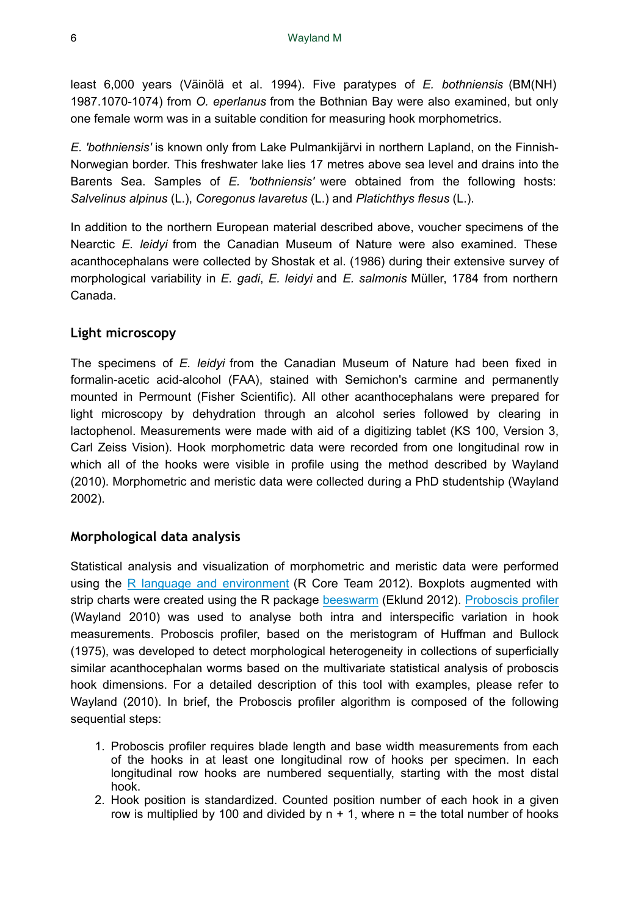least 6,000 years (Väinölä et al. 1994). Five paratypes of *E. bothniensis* (BM(NH) 1987.1070-1074) from *O. eperlanus* from the Bothnian Bay were also examined, but only one female worm was in a suitable condition for measuring hook morphometrics.

*E. 'bothniensis'* is known only from Lake Pulmankijärvi in northern Lapland, on the Finnish-Norwegian border. This freshwater lake lies 17 metres above sea level and drains into the Barents Sea. Samples of *E. 'bothniensis'* were obtained from the following hosts: *Salvelinus alpinus* (L.), *Coregonus lavaretus* (L.) and *Platichthys flesus* (L.).

In addition to the northern European material described above, voucher specimens of the Nearctic *E. leidyi* from the Canadian Museum of Nature were also examined. These acanthocephalans were collected by Shostak et al. (1986) during their extensive survey of morphological variability in *E. gadi*, *E. leidyi* and *E. salmonis* Müller, 1784 from northern Canada.

# **Light microscopy**

The specimens of *E. leidyi* from the Canadian Museum of Nature had been fixed in formalin-acetic acid-alcohol (FAA), stained with Semichon's carmine and permanently mounted in Permount (Fisher Scientific). All other acanthocephalans were prepared for light microscopy by dehydration through an alcohol series followed by clearing in lactophenol. Measurements were made with aid of a digitizing tablet (KS 100, Version 3, Carl Zeiss Vision). Hook morphometric data were recorded from one longitudinal row in which all of the hooks were visible in profile using the method described by Wayland (2010). Morphometric and meristic data were collected during a PhD studentship (Wayland 2002).

# **Morphological data analysis**

Statistical analysis and visualization of morphometric and meristic data were performed using the [R language and environment](http://r-project.org/) (R Core Team 2012). Boxplots augmented with strip charts were created using the R package [beeswarm](http://cran.r-project.org/web/packages/beeswarm/index.html) (Eklund 2012). [Proboscis profiler](http://acanthocephala.sourceforge.net/) (Wayland 2010) was used to analyse both intra and interspecific variation in hook measurements. Proboscis profiler, based on the meristogram of Huffman and Bullock (1975), was developed to detect morphological heterogeneity in collections of superficially similar acanthocephalan worms based on the multivariate statistical analysis of proboscis hook dimensions. For a detailed description of this tool with examples, please refer to Wayland (2010). In brief, the Proboscis profiler algorithm is composed of the following sequential steps:

- 1. Proboscis profiler requires blade length and base width measurements from each of the hooks in at least one longitudinal row of hooks per specimen. In each longitudinal row hooks are numbered sequentially, starting with the most distal hook.
- 2. Hook position is standardized. Counted position number of each hook in a given row is multiplied by 100 and divided by  $n + 1$ , where  $n =$  the total number of hooks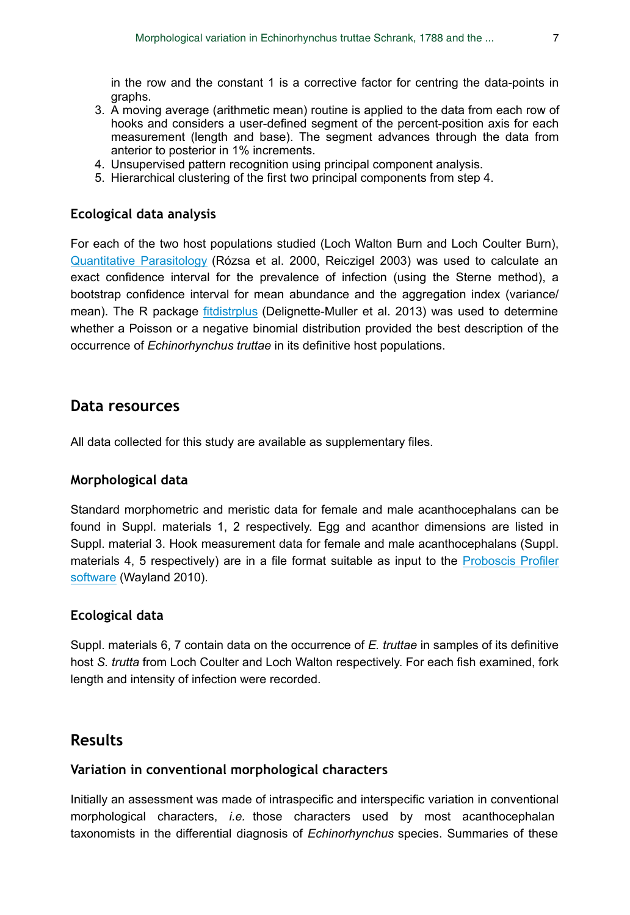in the row and the constant 1 is a corrective factor for centring the data-points in graphs.

- 3. A moving average (arithmetic mean) routine is applied to the data from each row of hooks and considers a user-defined segment of the percent-position axis for each measurement (length and base). The segment advances through the data from anterior to posterior in 1% increments.
- 4. Unsupervised pattern recognition using principal component analysis.
- 5. Hierarchical clustering of the first two principal components from step 4.

### **Ecological data analysis**

For each of the two host populations studied (Loch Walton Burn and Loch Coulter Burn), [Quantitative Parasitology](http://www.univet.hu/qpweb/) (Rózsa et al. 2000, Reiczigel 2003) was used to calculate an exact confidence interval for the prevalence of infection (using the Sterne method), a bootstrap confidence interval for mean abundance and the aggregation index (variance/ mean). The R package [fitdistrplus](http://cran.r-project.org/web/packages/fitdistrplus/index.html) (Delignette-Muller et al. 2013) was used to determine whether a Poisson or a negative binomial distribution provided the best description of the occurrence of *Echinorhynchus truttae* in its definitive host populations.

### **Data resources**

All data collected for this study are available as supplementary files.

### **Morphological data**

Standard morphometric and meristic data for female and male acanthocephalans can be found in Suppl. materials 1, 2 respectively. Egg and acanthor dimensions are listed in Suppl. material 3. Hook measurement data for female and male acanthocephalans (Suppl. materials 4, 5 respectively) are in a file format suitable as input to the [Proboscis Profiler](http://acanthocephala.sourceforge.net/) [software](http://acanthocephala.sourceforge.net/) (Wayland 2010).

### **Ecological data**

Suppl. materials 6, 7 contain data on the occurrence of *E. truttae* in samples of its definitive host *S. trutta* from Loch Coulter and Loch Walton respectively. For each fish examined, fork length and intensity of infection were recorded.

# **Results**

### **Variation in conventional morphological characters**

Initially an assessment was made of intraspecific and interspecific variation in conventional morphological characters, *i.e.* those characters used by most acanthocephalan taxonomists in the differential diagnosis of *Echinorhynchus* species. Summaries of these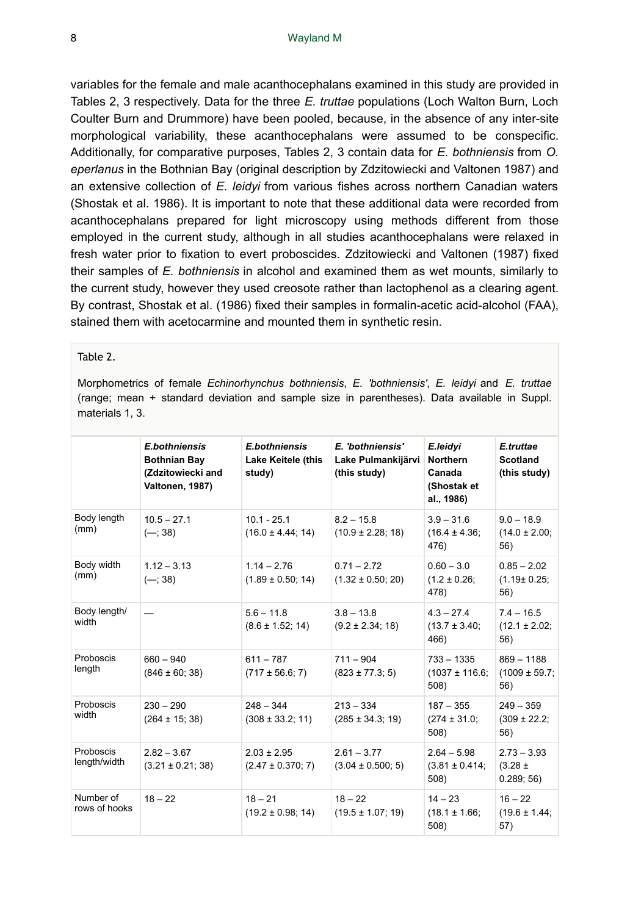variables for the female and male acanthocephalans examined in this study are provided in Tables 2, 3 respectively. Data for the three *E. truttae* populations (Loch Walton Burn, Loch Coulter Burn and Drummore) have been pooled, because, in the absence of any inter-site morphological variability, these acanthocephalans were assumed to be conspecific. Additionally, for comparative purposes, Tables 2, 3 contain data for *E. bothniensis* from *O. eperlanus* in the Bothnian Bay (original description by Zdzitowiecki and Valtonen 1987) and an extensive collection of *E. leidyi* from various fishes across northern Canadian waters (Shostak et al. 1986). It is important to note that these additional data were recorded from acanthocephalans prepared for light microscopy using methods different from those employed in the current study, although in all studies acanthocephalans were relaxed in fresh water prior to fixation to evert proboscides. Zdzitowiecki and Valtonen (1987) fixed their samples of *E. bothniensis* in alcohol and examined them as wet mounts, similarly to the current study, however they used creosote rather than lactophenol as a clearing agent. By contrast, Shostak et al. (1986) fixed their samples in formalin-acetic acid-alcohol (FAA), stained them with acetocarmine and mounted them in synthetic resin.

Table 2.

Morphometrics of female *Echinorhynchus bothniensis*, *E. 'bothniensis'*, *E. leidyi* and *E. truttae* (range; mean + standard deviation and sample size in parentheses). Data available in Suppl. materials 1, 3.

|                            | <b>E.bothniensis</b><br><b>Bothnian Bay</b><br>(Zdzitowiecki and<br>Valtonen, 1987) | <b>E.bothniensis</b><br><b>Lake Keitele (this</b><br>study) | E. 'bothniensis'<br>Lake Pulmankijärvi<br>(this study) | E.leidvi<br><b>Northern</b><br>Canada<br>(Shostak et<br>al., 1986) | E.truttae<br>Scotland<br>(this study)      |
|----------------------------|-------------------------------------------------------------------------------------|-------------------------------------------------------------|--------------------------------------------------------|--------------------------------------------------------------------|--------------------------------------------|
| Body length<br>(mm)        | $10.5 - 27.1$<br>$(-38)$                                                            | $10.1 - 25.1$<br>$(16.0 \pm 4.44; 14)$                      | $8.2 - 15.8$<br>$(10.9 \pm 2.28; 18)$                  | $3.9 - 31.6$<br>$(16.4 \pm 4.36)$<br>476)                          | $9.0 - 18.9$<br>$(14.0 \pm 2.00)$ ;<br>56) |
| Body width<br>(mm)         | $1.12 - 3.13$<br>$(-38)$                                                            | $1.14 - 2.76$<br>$(1.89 \pm 0.50; 14)$                      | $0.71 - 2.72$<br>$(1.32 \pm 0.50; 20)$                 | $0.60 - 3.0$<br>$(1.2 \pm 0.26)$<br>478)                           | $0.85 - 2.02$<br>$(1.19 \pm 0.25)$<br>56)  |
| Body length/<br>width      |                                                                                     | $5.6 - 11.8$<br>$(8.6 \pm 1.52; 14)$                        | $3.8 - 13.8$<br>$(9.2 \pm 2.34; 18)$                   | $4.3 - 27.4$<br>$(13.7 \pm 3.40)$ ;<br>466)                        | $7.4 - 16.5$<br>$(12.1 \pm 2.02)$<br>56)   |
| Proboscis<br>length        | $660 - 940$<br>$(846 \pm 60; 38)$                                                   | $611 - 787$<br>$(717 \pm 56.6; 7)$                          | $711 - 904$<br>$(823 \pm 77.3; 5)$                     | $733 - 1335$<br>$(1037 \pm 116.6)$<br>508)                         | $869 - 1188$<br>$(1009 \pm 59.7)$<br>56)   |
| Proboscis<br>width         | $230 - 290$<br>$(264 \pm 15; 38)$                                                   | $248 - 344$<br>$(308 \pm 33.2; 11)$                         | $213 - 334$<br>$(285 \pm 34.3; 19)$                    | $187 - 355$<br>$(274 \pm 31.0)$ ;<br>508)                          | $249 - 359$<br>$(309 \pm 22.2)$<br>56)     |
| Proboscis<br>length/width  | $2.82 - 3.67$<br>$(3.21 \pm 0.21; 38)$                                              | $2.03 \pm 2.95$<br>$(2.47 \pm 0.370; 7)$                    | $2.61 - 3.77$<br>$(3.04 \pm 0.500; 5)$                 | $2.64 - 5.98$<br>$(3.81 \pm 0.414)$<br>508)                        | $2.73 - 3.93$<br>$(3.28 \pm$<br>0.289; 56) |
| Number of<br>rows of hooks | $18 - 22$                                                                           | $18 - 21$<br>$(19.2 \pm 0.98; 14)$                          | $18 - 22$<br>$(19.5 \pm 1.07; 19)$                     | $14 - 23$<br>$(18.1 \pm 1.66)$<br>508)                             | $16 - 22$<br>$(19.6 \pm 1.44)$<br>57)      |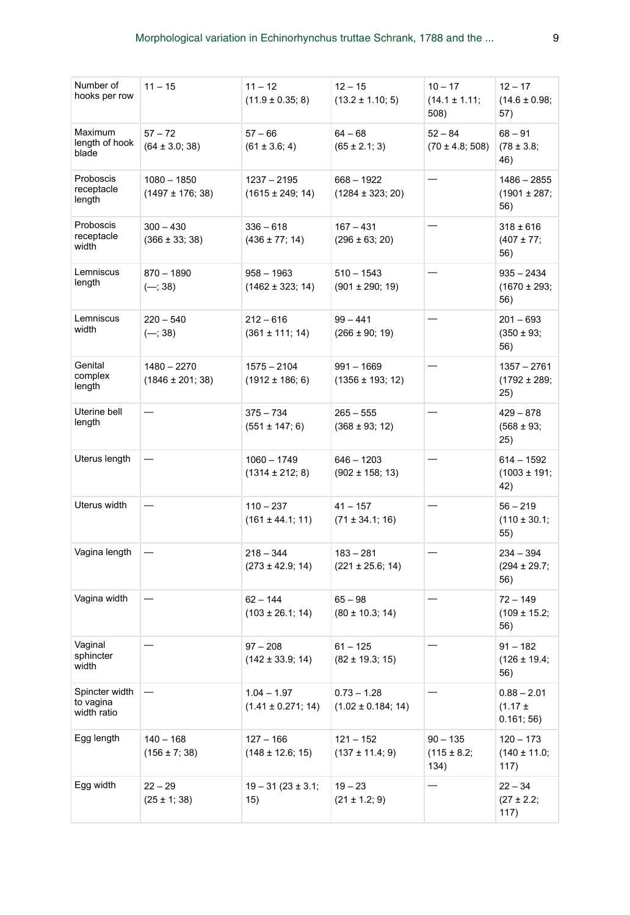| Number of<br>hooks per row                 | $11 - 15$                             | $11 - 12$<br>$(11.9 \pm 0.35; 8)$       | $12 - 15$<br>$(13.2 \pm 1.10; 5)$       | $10 - 17$<br>$(14.1 \pm 1.11)$ ;<br>508) | $12 - 17$<br>$(14.6 \pm 0.98)$<br>57)      |
|--------------------------------------------|---------------------------------------|-----------------------------------------|-----------------------------------------|------------------------------------------|--------------------------------------------|
| Maximum<br>length of hook<br>blade         | $57 - 72$<br>$(64 \pm 3.0; 38)$       | $57 - 66$<br>$(61 \pm 3.6; 4)$          | $64 - 68$<br>$(65 \pm 2.1; 3)$          | $52 - 84$<br>$(70 \pm 4.8; 508)$         | $68 - 91$<br>$(78 \pm 3.8)$ ;<br>46)       |
| Proboscis<br>receptacle<br>length          | $1080 - 1850$<br>$(1497 \pm 176; 38)$ | 1237 - 2195<br>$(1615 \pm 249; 14)$     | $668 - 1922$<br>$(1284 \pm 323; 20)$    |                                          | 1486 - 2855<br>$(1901 \pm 287)$<br>56)     |
| Proboscis<br>receptacle<br>width           | $300 - 430$<br>$(366 \pm 33; 38)$     | $336 - 618$<br>$(436 \pm 77; 14)$       | $167 - 431$<br>$(296 \pm 63; 20)$       |                                          | $318 \pm 616$<br>$(407 \pm 77)$ ;<br>56)   |
| Lemniscus<br>length                        | $870 - 1890$<br>$(-; 38)$             | $958 - 1963$<br>$(1462 \pm 323; 14)$    | $510 - 1543$<br>$(901 \pm 290; 19)$     | $\overline{\phantom{0}}$                 | $935 - 2434$<br>$(1670 \pm 293;$<br>56)    |
| Lemniscus<br>width                         | $220 - 540$<br>$(-; 38)$              | $212 - 616$<br>$(361 \pm 111; 14)$      | $99 - 441$<br>$(266 \pm 90; 19)$        |                                          | $201 - 693$<br>$(350 \pm 93)$<br>56)       |
| Genital<br>complex<br>length               | $1480 - 2270$<br>$(1846 \pm 201; 38)$ | $1575 - 2104$<br>$(1912 \pm 186; 6)$    | $991 - 1669$<br>$(1356 \pm 193; 12)$    |                                          | $1357 - 2761$<br>$(1792 \pm 289)$ ;<br>25) |
| Uterine bell<br>length                     |                                       | $375 - 734$<br>$(551 \pm 147; 6)$       | $265 - 555$<br>$(368 \pm 93; 12)$       |                                          | $429 - 878$<br>$(568 \pm 93)$ ;<br>25)     |
| Uterus length                              |                                       | $1060 - 1749$<br>$(1314 \pm 212; 8)$    | $646 - 1203$<br>$(902 \pm 158; 13)$     |                                          | $614 - 1592$<br>$(1003 \pm 191)$<br>42)    |
| Uterus width                               |                                       | $110 - 237$<br>$(161 \pm 44.1; 11)$     | $41 - 157$<br>$(71 \pm 34.1; 16)$       |                                          | $56 - 219$<br>$(110 \pm 30.1)$<br>55)      |
| Vagina length                              |                                       | $218 - 344$<br>$(273 \pm 42.9; 14)$     | $183 - 281$<br>$(221 \pm 25.6; 14)$     |                                          | $234 - 394$<br>$(294 \pm 29.7)$<br>56)     |
| Vagina width                               | $\overline{\phantom{0}}$              | $62 - 144$<br>$(103 \pm 26.1; 14)$      | $65 - 98$<br>$(80 \pm 10.3; 14)$        |                                          | $72 - 149$<br>$(109 \pm 15.2)$<br>56)      |
| Vaginal<br>sphincter<br>width              |                                       | $97 - 208$<br>$(142 \pm 33.9; 14)$      | $61 - 125$<br>$(82 \pm 19.3; 15)$       |                                          | $91 - 182$<br>$(126 \pm 19.4)$<br>56)      |
| Spincter width<br>to vagina<br>width ratio |                                       | $1.04 - 1.97$<br>$(1.41 \pm 0.271; 14)$ | $0.73 - 1.28$<br>$(1.02 \pm 0.184; 14)$ |                                          | $0.88 - 2.01$<br>$(1.17 \pm$<br>0.161; 56) |
| Egg length                                 | $140 - 168$<br>$(156 \pm 7; 38)$      | $127 - 166$<br>$(148 \pm 12.6; 15)$     | 121 - 152<br>$(137 \pm 11.4; 9)$        | $90 - 135$<br>$(115 \pm 8.2)$ ;<br>134)  | $120 - 173$<br>$(140 \pm 11.0)$ ;<br>117)  |
| Egg width                                  | $22 - 29$<br>$(25 \pm 1; 38)$         | $19 - 31(23 \pm 3.1)$<br>15)            | $19 - 23$<br>$(21 \pm 1.2; 9)$          |                                          | $22 - 34$<br>$(27 \pm 2.2)$ ;<br>117)      |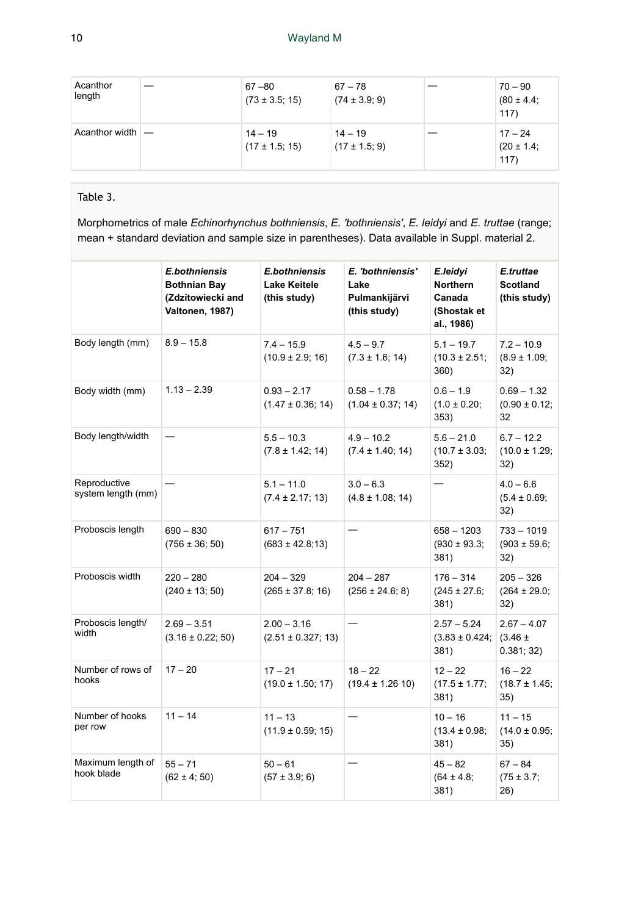| Acanthor<br>length       | $67 - 80$<br>$(73 \pm 3.5; 15)$ | $67 - 78$<br>$(74 \pm 3.9; 9)$ | $70 - 90$<br>$(80 \pm 4.4)$<br>117) |
|--------------------------|---------------------------------|--------------------------------|-------------------------------------|
| Acanthor width $\vert$ — | $14 - 19$<br>$(17 \pm 1.5; 15)$ | $14 - 19$<br>$(17 \pm 1.5; 9)$ | $17 - 24$<br>$(20 \pm 1.4)$<br>117) |

# Table 3.

Morphometrics of male *Echinorhynchus bothniensis*, *E. 'bothniensis'*, *E. leidyi* and *E. truttae* (range; mean + standard deviation and sample size in parentheses). Data available in Suppl. material 2.

|                                    | E.bothniensis<br><b>Bothnian Bay</b><br>(Zdzitowiecki and<br>Valtonen, 1987) | E.bothniensis<br><b>Lake Keitele</b><br>(this study) | E. 'bothniensis'<br>Lake<br>Pulmankijärvi<br>(this study) | E.leidyi<br><b>Northern</b><br>Canada<br>(Shostak et<br>al., 1986) | E.truttae<br><b>Scotland</b><br>(this study) |
|------------------------------------|------------------------------------------------------------------------------|------------------------------------------------------|-----------------------------------------------------------|--------------------------------------------------------------------|----------------------------------------------|
| Body length (mm)                   | $8.9 - 15.8$                                                                 | $7.4 - 15.9$<br>$(10.9 \pm 2.9; 16)$                 | $4.5 - 9.7$<br>$(7.3 \pm 1.6; 14)$                        | $5.1 - 19.7$<br>$(10.3 \pm 2.51)$<br>360)                          | $7.2 - 10.9$<br>$(8.9 \pm 1.09)$ ;<br>32)    |
| Body width (mm)                    | $1.13 - 2.39$                                                                | $0.93 - 2.17$<br>$(1.47 \pm 0.36; 14)$               | $0.58 - 1.78$<br>$(1.04 \pm 0.37; 14)$                    | $0.6 - 1.9$<br>$(1.0 \pm 0.20)$ ;<br>353)                          | $0.69 - 1.32$<br>$(0.90 \pm 0.12)$<br>32     |
| Body length/width                  |                                                                              | $5.5 - 10.3$<br>$(7.8 \pm 1.42; 14)$                 | $4.9 - 10.2$<br>$(7.4 \pm 1.40; 14)$                      | $5.6 - 21.0$<br>$(10.7 \pm 3.03)$<br>352)                          | $6.7 - 12.2$<br>$(10.0 \pm 1.29)$<br>32)     |
| Reproductive<br>system length (mm) |                                                                              | $5.1 - 11.0$<br>$(7.4 \pm 2.17; 13)$                 | $3.0 - 6.3$<br>$(4.8 \pm 1.08; 14)$                       |                                                                    | $4.0 - 6.6$<br>$(5.4 \pm 0.69)$ ;<br>32)     |
| Proboscis length                   | $690 - 830$<br>$(756 \pm 36; 50)$                                            | $617 - 751$<br>$(683 \pm 42.8; 13)$                  |                                                           | $658 - 1203$<br>$(930 \pm 93.3)$<br>381)                           | $733 - 1019$<br>$(903 \pm 59.6)$<br>32)      |
| Proboscis width                    | $220 - 280$<br>$(240 \pm 13; 50)$                                            | $204 - 329$<br>$(265 \pm 37.8; 16)$                  | $204 - 287$<br>$(256 \pm 24.6; 8)$                        | $176 - 314$<br>$(245 \pm 27.6)$<br>381)                            | $205 - 326$<br>$(264 \pm 29.0)$ ;<br>32)     |
| Proboscis length/<br>width         | $2.69 - 3.51$<br>$(3.16 \pm 0.22; 50)$                                       | $2.00 - 3.16$<br>$(2.51 \pm 0.327; 13)$              |                                                           | $2.57 - 5.24$<br>$(3.83 \pm 0.424)$<br>381)                        | $2.67 - 4.07$<br>$(3.46 \pm$<br>0.381; 32)   |
| Number of rows of<br>hooks         | $17 - 20$                                                                    | $17 - 21$<br>$(19.0 \pm 1.50; 17)$                   | $18 - 22$<br>$(19.4 \pm 1.26 10)$                         | $12 - 22$<br>$(17.5 \pm 1.77)$<br>381)                             | $16 - 22$<br>$(18.7 \pm 1.45)$<br>35)        |
| Number of hooks<br>per row         | $11 - 14$                                                                    | $11 - 13$<br>$(11.9 \pm 0.59; 15)$                   |                                                           | $10 - 16$<br>$(13.4 \pm 0.98)$<br>381)                             | $11 - 15$<br>$(14.0 \pm 0.95)$<br>35)        |
| Maximum length of<br>hook blade    | $55 - 71$<br>$(62 \pm 4; 50)$                                                | $50 - 61$<br>$(57 \pm 3.9; 6)$                       |                                                           | $45 - 82$<br>$(64 \pm 4.8)$<br>381)                                | $67 - 84$<br>$(75 \pm 3.7)$<br>26)           |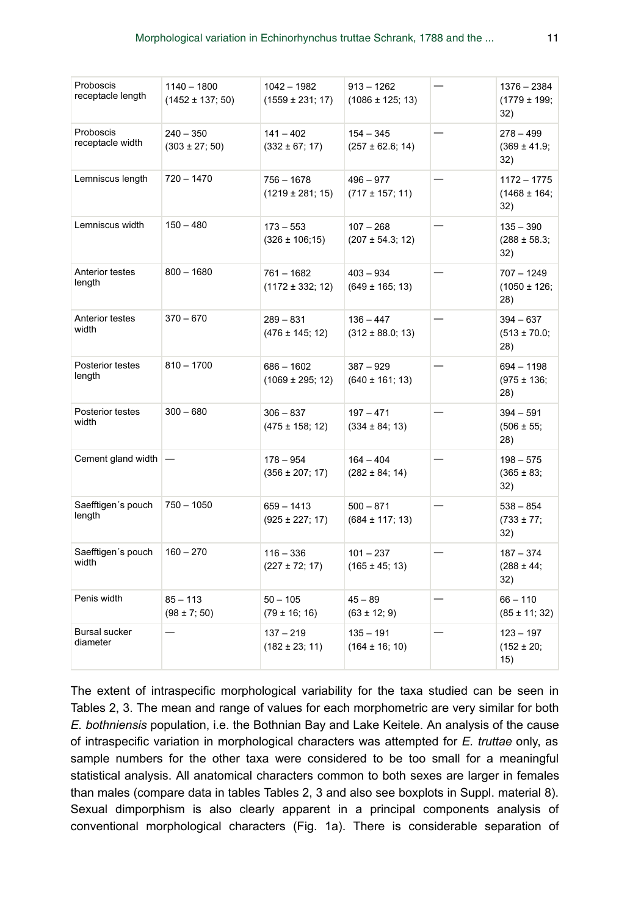| Proboscis<br>receptacle length   | $1140 - 1800$<br>$(1452 \pm 137; 50)$ | 1042 - 1982<br>$(1559 \pm 231; 17)$  | $913 - 1262$<br>$(1086 \pm 125; 13)$ | $1376 - 2384$<br>$(1779 \pm 199)$ ;<br>32) |
|----------------------------------|---------------------------------------|--------------------------------------|--------------------------------------|--------------------------------------------|
| Proboscis<br>receptacle width    | $240 - 350$<br>$(303 \pm 27; 50)$     | $141 - 402$<br>$(332 \pm 67; 17)$    | $154 - 345$<br>$(257 \pm 62.6; 14)$  | $278 - 499$<br>$(369 \pm 41.9)$ ;<br>32)   |
| Lemniscus length                 | $720 - 1470$                          | $756 - 1678$<br>$(1219 \pm 281; 15)$ | $496 - 977$<br>$(717 \pm 157; 11)$   | $1172 - 1775$<br>$(1468 \pm 164)$<br>32)   |
| Lemniscus width                  | $150 - 480$                           | $173 - 553$<br>$(326 \pm 106; 15)$   | $107 - 268$<br>$(207 \pm 54.3; 12)$  | $135 - 390$<br>$(288 \pm 58.3)$<br>32)     |
| Anterior testes<br>length        | $800 - 1680$                          | 761 - 1682<br>$(1172 \pm 332; 12)$   | $403 - 934$<br>$(649 \pm 165; 13)$   | $707 - 1249$<br>$(1050 \pm 126)$<br>28)    |
| Anterior testes<br>width         | $370 - 670$                           | $289 - 831$<br>$(476 \pm 145; 12)$   | $136 - 447$<br>$(312 \pm 88.0; 13)$  | $394 - 637$<br>$(513 \pm 70.0)$<br>28)     |
| Posterior testes<br>length       | $810 - 1700$                          | $686 - 1602$<br>$(1069 \pm 295; 12)$ | $387 - 929$<br>$(640 \pm 161; 13)$   | $694 - 1198$<br>$(975 \pm 136)$ ;<br>28)   |
| Posterior testes<br>width        | $300 - 680$                           | $306 - 837$<br>$(475 \pm 158; 12)$   | $197 - 471$<br>$(334 \pm 84; 13)$    | $394 - 591$<br>$(506 \pm 55)$<br>28)       |
| Cement gland width               |                                       | $178 - 954$<br>$(356 \pm 207; 17)$   | $164 - 404$<br>$(282 \pm 84; 14)$    | $198 - 575$<br>$(365 \pm 83)$ ;<br>32)     |
| Saefftigen's pouch<br>length     | $750 - 1050$                          | $659 - 1413$<br>$(925 \pm 227; 17)$  | $500 - 871$<br>$(684 \pm 117; 13)$   | $538 - 854$<br>$(733 \pm 77)$ ;<br>32)     |
| Saefftigen's pouch<br>width      | $160 - 270$                           | $116 - 336$<br>$(227 \pm 72; 17)$    | $101 - 237$<br>$(165 \pm 45; 13)$    | $187 - 374$<br>$(288 \pm 44)$ ;<br>32)     |
| Penis width                      | $85 - 113$<br>$(98 \pm 7; 50)$        | $50 - 105$<br>$(79 \pm 16; 16)$      | $45 - 89$<br>$(63 \pm 12; 9)$        | $66 - 110$<br>$(85 \pm 11; 32)$            |
| <b>Bursal sucker</b><br>diameter |                                       | $137 - 219$<br>$(182 \pm 23; 11)$    | $135 - 191$<br>$(164 \pm 16; 10)$    | $123 - 197$<br>$(152 \pm 20)$ ;<br>15)     |

The extent of intraspecific morphological variability for the taxa studied can be seen in Tables 2, 3. The mean and range of values for each morphometric are very similar for both *E. bothniensis* population, i.e. the Bothnian Bay and Lake Keitele. An analysis of the cause of intraspecific variation in morphological characters was attempted for *E. truttae* only, as sample numbers for the other taxa were considered to be too small for a meaningful statistical analysis. All anatomical characters common to both sexes are larger in females than males (compare data in tables Tables 2, 3 and also see boxplots in Suppl. material 8). Sexual dimporphism is also clearly apparent in a principal components analysis of conventional morphological characters (Fig. 1a). There is considerable separation of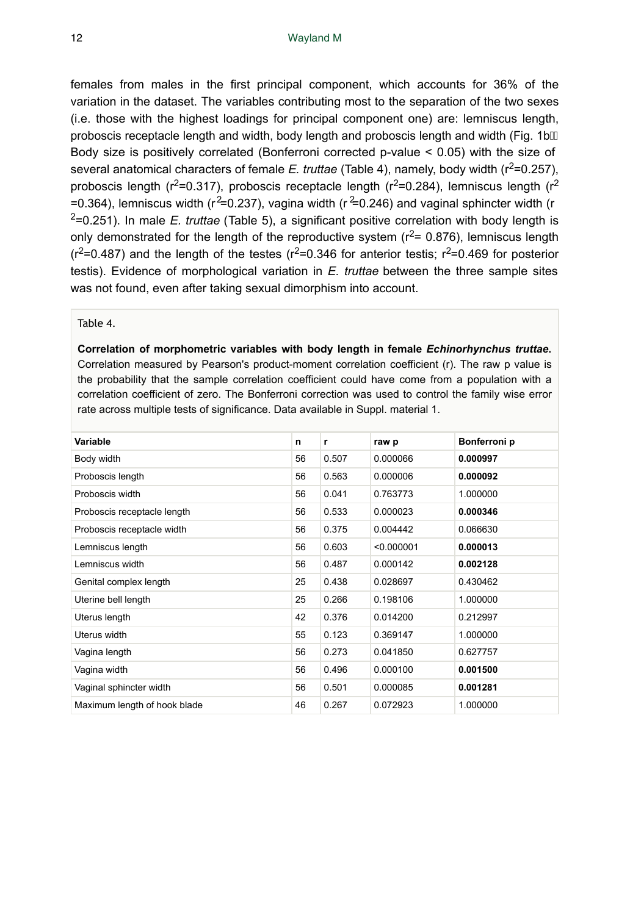females from males in the first principal component, which accounts for 36% of the variation in the dataset. The variables contributing most to the separation of the two sexes (i.e. those with the highest loadings for principal component one) are: lemniscus length, proboscis receptacle length and width, body length and proboscis length and width (Fig. 1bl $\dot{E}$ Body size is positively correlated (Bonferroni corrected p-value < 0.05) with the size of several anatomical characters of female *E. truttae* (Table 4), namely, body width (r<sup>2</sup>=0.257), proboscis length ( $r^2$ =0.317), proboscis receptacle length ( $r^2$ =0.284), lemniscus length ( $r^2$ =0.364), lemniscus width (r<sup>2</sup>=0.237), vagina width (r<sup>2</sup>=0.246) and vaginal sphincter width (r <sup>2</sup>=0.251). In male *E. truttae* (Table 5), a significant positive correlation with body length is only demonstrated for the length of the reproductive system ( $r^2$ = 0.876), lemniscus length  $(r^2=0.487)$  and the length of the testes ( $r^2=0.346$  for anterior testis;  $r^2=0.469$  for posterior testis). Evidence of morphological variation in *E. truttae* between the three sample sites was not found, even after taking sexual dimorphism into account.

#### Table 4.

**Correlation of morphometric variables with body length in female** *Echinorhynchus truttae***.** Correlation measured by Pearson's product-moment correlation coefficient (r). The raw p value is the probability that the sample correlation coefficient could have come from a population with a correlation coefficient of zero. The Bonferroni correction was used to control the family wise error rate across multiple tests of significance. Data available in Suppl. material 1.

| Variable                     | n  | r     | raw p      | Bonferroni p |
|------------------------------|----|-------|------------|--------------|
| Body width                   | 56 | 0.507 | 0.000066   | 0.000997     |
| Proboscis length             | 56 | 0.563 | 0.000006   | 0.000092     |
| Proboscis width              | 56 | 0.041 | 0.763773   | 1.000000     |
| Proboscis receptacle length  | 56 | 0.533 | 0.000023   | 0.000346     |
| Proboscis receptacle width   | 56 | 0.375 | 0.004442   | 0.066630     |
| Lemniscus length             | 56 | 0.603 | < 0.000001 | 0.000013     |
| Lemniscus width              | 56 | 0.487 | 0.000142   | 0.002128     |
| Genital complex length       | 25 | 0.438 | 0.028697   | 0.430462     |
| Uterine bell length          | 25 | 0.266 | 0.198106   | 1.000000     |
| Uterus length                | 42 | 0.376 | 0.014200   | 0.212997     |
| Uterus width                 | 55 | 0.123 | 0.369147   | 1.000000     |
| Vagina length                | 56 | 0.273 | 0.041850   | 0.627757     |
| Vagina width                 | 56 | 0.496 | 0.000100   | 0.001500     |
| Vaginal sphincter width      | 56 | 0.501 | 0.000085   | 0.001281     |
| Maximum length of hook blade | 46 | 0.267 | 0.072923   | 1.000000     |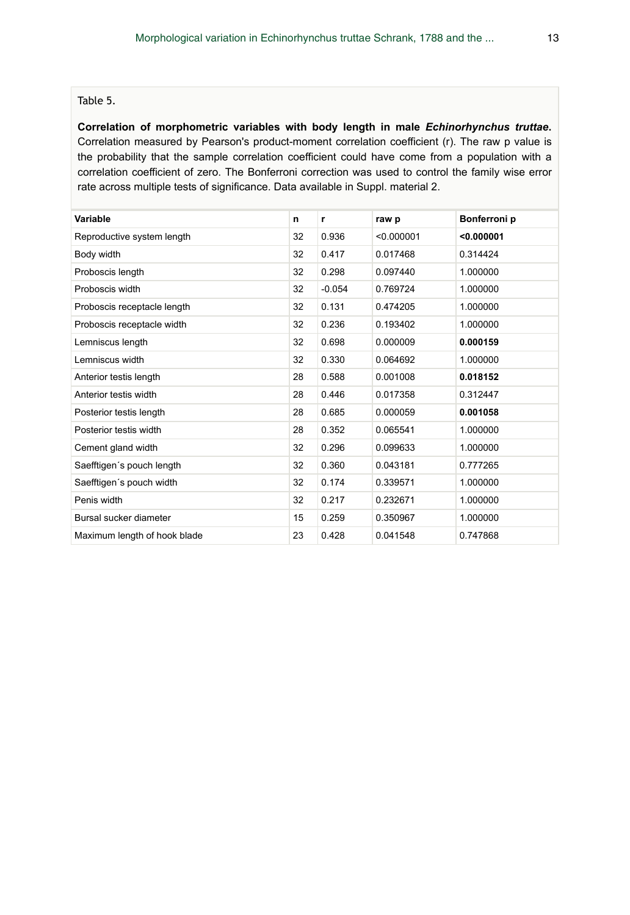# Table 5.

**Correlation of morphometric variables with body length in male** *Echinorhynchus truttae***.** Correlation measured by Pearson's product-moment correlation coefficient (r). The raw p value is the probability that the sample correlation coefficient could have come from a population with a correlation coefficient of zero. The Bonferroni correction was used to control the family wise error rate across multiple tests of significance. Data available in Suppl. material 2.

| Variable                     | n  | r        | raw p      | Bonferroni p |
|------------------------------|----|----------|------------|--------------|
| Reproductive system length   | 32 | 0.936    | < 0.000001 | < 0.000001   |
| Body width                   | 32 | 0.417    | 0.017468   | 0.314424     |
| Proboscis length             | 32 | 0.298    | 0.097440   | 1.000000     |
| Proboscis width              | 32 | $-0.054$ | 0.769724   | 1.000000     |
| Proboscis receptacle length  | 32 | 0.131    | 0.474205   | 1.000000     |
| Proboscis receptacle width   | 32 | 0.236    | 0.193402   | 1.000000     |
| Lemniscus length             | 32 | 0.698    | 0.000009   | 0.000159     |
| Lemniscus width              | 32 | 0.330    | 0.064692   | 1.000000     |
| Anterior testis length       | 28 | 0.588    | 0.001008   | 0.018152     |
| Anterior testis width        | 28 | 0.446    | 0.017358   | 0.312447     |
| Posterior testis length      | 28 | 0.685    | 0.000059   | 0.001058     |
| Posterior testis width       | 28 | 0.352    | 0.065541   | 1.000000     |
| Cement gland width           | 32 | 0.296    | 0.099633   | 1.000000     |
| Saefftigen's pouch length    | 32 | 0.360    | 0.043181   | 0.777265     |
| Saefftigen's pouch width     | 32 | 0.174    | 0.339571   | 1.000000     |
| Penis width                  | 32 | 0.217    | 0.232671   | 1.000000     |
| Bursal sucker diameter       | 15 | 0.259    | 0.350967   | 1.000000     |
| Maximum length of hook blade | 23 | 0.428    | 0.041548   | 0.747868     |
|                              |    |          |            |              |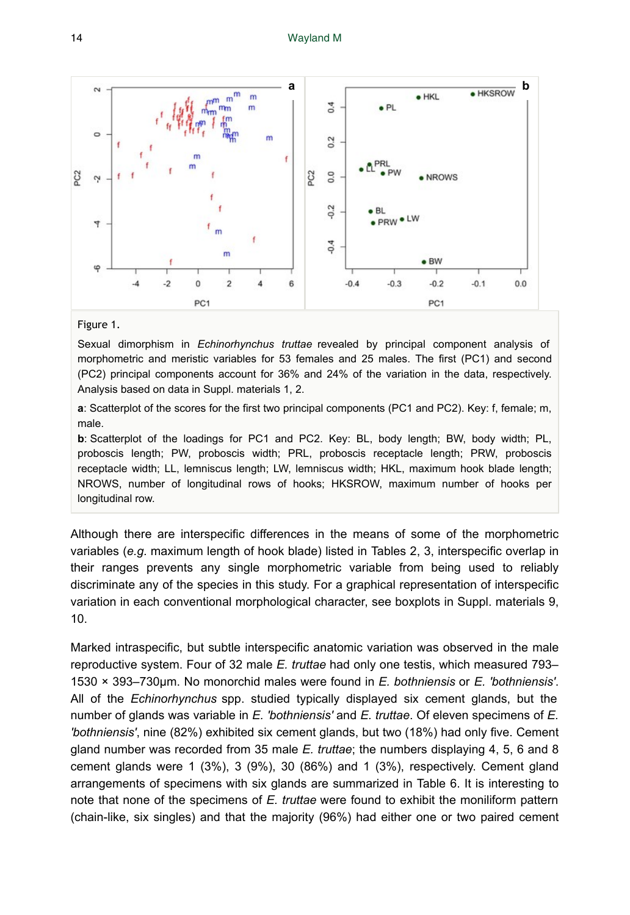

#### Figure 1.

Sexual dimorphism in *Echinorhynchus truttae* revealed by principal component analysis of morphometric and meristic variables for 53 females and 25 males. The first (PC1) and second (PC2) principal components account for 36% and 24% of the variation in the data, respectively. Analysis based on data in Suppl. materials 1, 2.

**a**: Scatterplot of the scores for the first two principal components (PC1 and PC2). Key: f, female; m, male.

**b**: Scatterplot of the loadings for PC1 and PC2. Key: BL, body length; BW, body width; PL, proboscis length; PW, proboscis width; PRL, proboscis receptacle length; PRW, proboscis receptacle width; LL, lemniscus length; LW, lemniscus width; HKL, maximum hook blade length; NROWS, number of longitudinal rows of hooks; HKSROW, maximum number of hooks per longitudinal row.

Although there are interspecific differences in the means of some of the morphometric variables (*e.g.* maximum length of hook blade) listed in Tables 2, 3, interspecific overlap in their ranges prevents any single morphometric variable from being used to reliably discriminate any of the species in this study. For a graphical representation of interspecific variation in each conventional morphological character, see boxplots in Suppl. materials 9, 10.

Marked intraspecific, but subtle interspecific anatomic variation was observed in the male reproductive system. Four of 32 male *E. truttae* had only one testis, which measured 793– 1530 × 393–730µm. No monorchid males were found in *E. bothniensis* or *E. 'bothniensis'*. All of the *Echinorhynchus* spp. studied typically displayed six cement glands, but the number of glands was variable in *E. 'bothniensis'* and *E. truttae*. Of eleven specimens of *E. 'bothniensis'*, nine (82%) exhibited six cement glands, but two (18%) had only five. Cement gland number was recorded from 35 male *E. truttae*; the numbers displaying 4, 5, 6 and 8 cement glands were 1 (3%), 3 (9%), 30 (86%) and 1 (3%), respectively. Cement gland arrangements of specimens with six glands are summarized in Table 6. It is interesting to note that none of the specimens of *E. truttae* were found to exhibit the moniliform pattern (chain-like, six singles) and that the majority (96%) had either one or two paired cement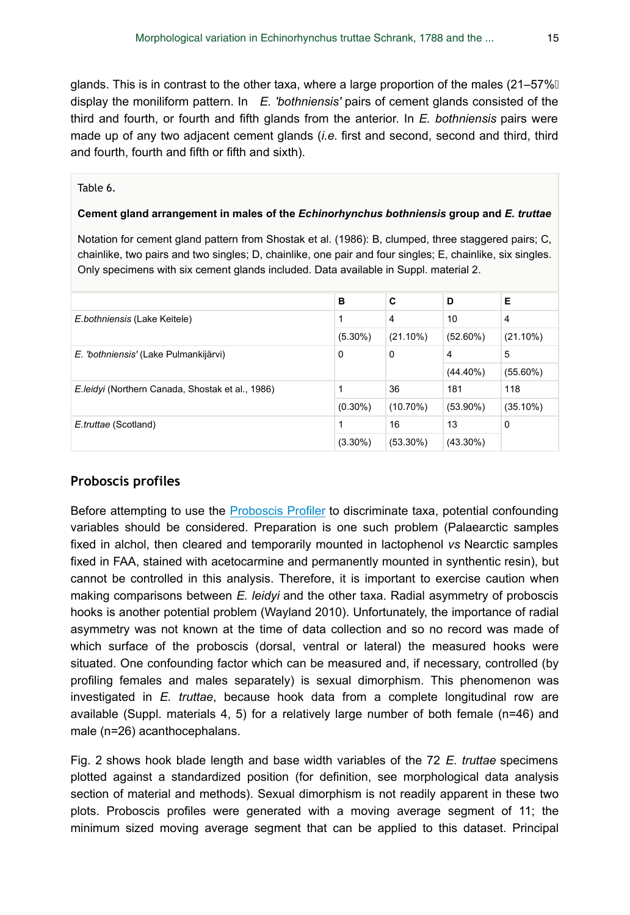glands. This is in contrast to the other taxa, where a large proportion of the males (21–57%D) display the moniliform pattern. In *E. 'bothniensis'* pairs of cement glands consisted of the third and fourth, or fourth and fifth glands from the anterior. In *E. bothniensis* pairs were made up of any two adjacent cement glands (*i.e.* first and second, second and third, third and fourth, fourth and fifth or fifth and sixth).

#### Table 6.

#### **Cement gland arrangement in males of the** *Echinorhynchus bothniensis* **group and** *E. truttae*

Notation for cement gland pattern from Shostak et al. (1986): B, clumped, three staggered pairs; C, chainlike, two pairs and two singles; D, chainlike, one pair and four singles; E, chainlike, six singles. Only specimens with six cement glands included. Data available in Suppl. material 2.

|                                                  | в          | C           | D           | Е           |
|--------------------------------------------------|------------|-------------|-------------|-------------|
| E.bothniensis (Lake Keitele)                     | 1          | 4           | 10          | 4           |
|                                                  | $(5.30\%)$ | $(21.10\%)$ | $(52.60\%)$ | $(21.10\%)$ |
| E. 'bothniensis' (Lake Pulmankijärvi)            | 0          | 0           | 4           | 5           |
|                                                  |            |             | $(44.40\%)$ | $(55.60\%)$ |
| E.leidyi (Northern Canada, Shostak et al., 1986) |            | 36          | 181         | 118         |
|                                                  | $(0.30\%)$ | $(10.70\%)$ | $(53.90\%)$ | $(35.10\%)$ |
| E.truttae (Scotland)                             |            | 16          | 13          | $\Omega$    |
|                                                  | $(3.30\%)$ | $(53.30\%)$ | $(43.30\%)$ |             |

# **Proboscis profiles**

Before attempting to use the [Proboscis Profiler](http://acanthocephala.sourceforge.net/) to discriminate taxa, potential confounding variables should be considered. Preparation is one such problem (Palaearctic samples fixed in alchol, then cleared and temporarily mounted in lactophenol *vs* Nearctic samples fixed in FAA, stained with acetocarmine and permanently mounted in synthentic resin), but cannot be controlled in this analysis. Therefore, it is important to exercise caution when making comparisons between *E. leidyi* and the other taxa. Radial asymmetry of proboscis hooks is another potential problem (Wayland 2010). Unfortunately, the importance of radial asymmetry was not known at the time of data collection and so no record was made of which surface of the proboscis (dorsal, ventral or lateral) the measured hooks were situated. One confounding factor which can be measured and, if necessary, controlled (by profiling females and males separately) is sexual dimorphism. This phenomenon was investigated in *E. truttae*, because hook data from a complete longitudinal row are available (Suppl. materials 4, 5) for a relatively large number of both female (n=46) and male (n=26) acanthocephalans.

Fig. 2 shows hook blade length and base width variables of the 72 *E. truttae* specimens plotted against a standardized position (for definition, see morphological data analysis section of material and methods). Sexual dimorphism is not readily apparent in these two plots. Proboscis profiles were generated with a moving average segment of 11; the minimum sized moving average segment that can be applied to this dataset. Principal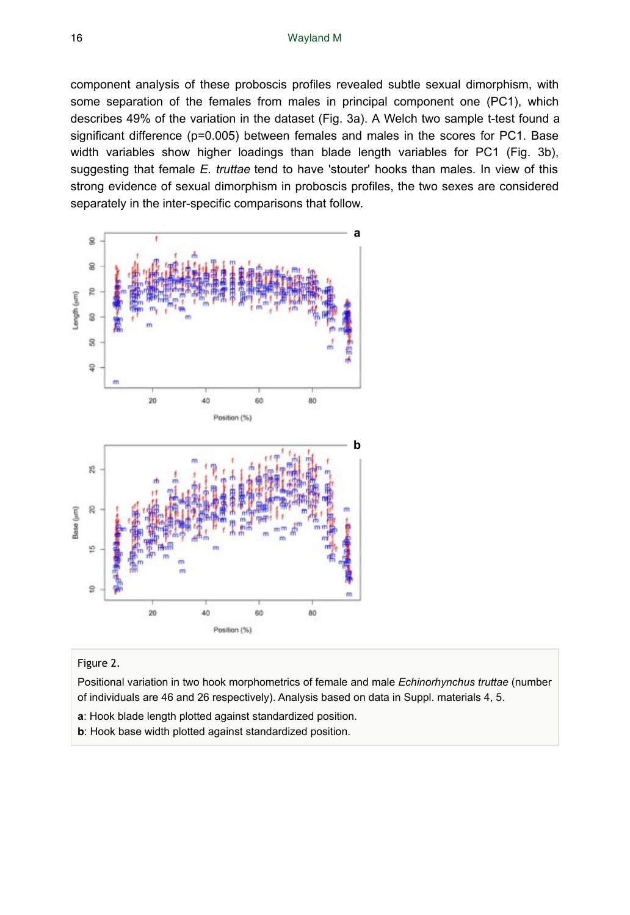component analysis of these proboscis profiles revealed subtle sexual dimorphism, with some separation of the females from males in principal component one (PC1), which describes 49% of the variation in the dataset (Fig. 3a). A Welch two sample t-test found a significant difference (p=0.005) between females and males in the scores for PC1. Base width variables show higher loadings than blade length variables for PC1 (Fig. 3b), suggesting that female *E. truttae* tend to have 'stouter' hooks than males. In view of this strong evidence of sexual dimorphism in proboscis profiles, the two sexes are considered separately in the inter-specific comparisons that follow.



#### Figure 2.

Positional variation in two hook morphometrics of female and male *Echinorhynchus truttae* (number of individuals are 46 and 26 respectively). Analysis based on data in Suppl. materials 4, 5.

- **a**: Hook blade length plotted against standardized position.
- **b**: Hook base width plotted against standardized position.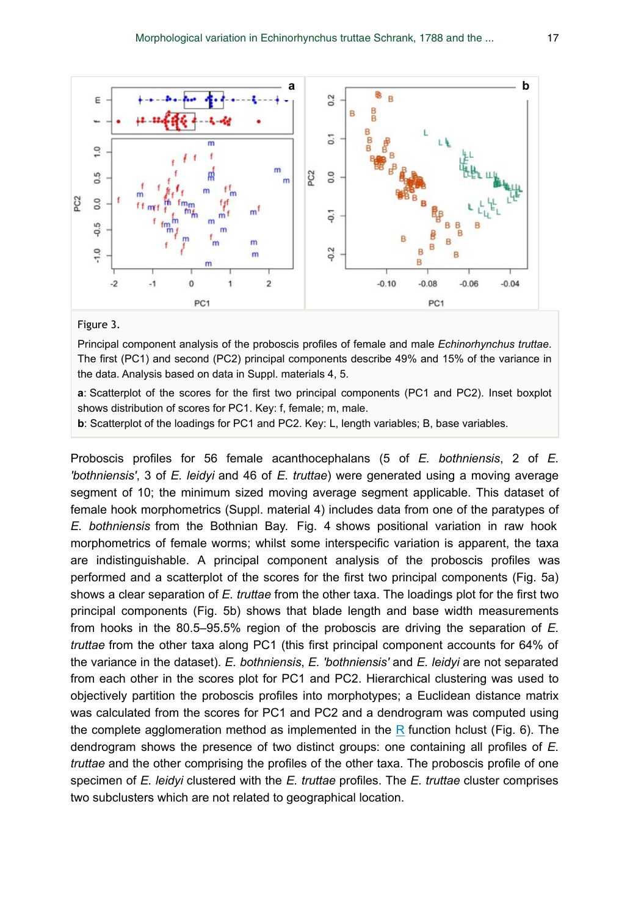

#### Figure 3.

Principal component analysis of the proboscis profiles of female and male *Echinorhynchus truttae*. The first (PC1) and second (PC2) principal components describe 49% and 15% of the variance in the data. Analysis based on data in Suppl. materials 4, 5.

**a**: Scatterplot of the scores for the first two principal components (PC1 and PC2). Inset boxplot shows distribution of scores for PC1. Key: f, female; m, male.

**b**: Scatterplot of the loadings for PC1 and PC2. Key: L, length variables; B, base variables.

Proboscis profiles for 56 female acanthocephalans (5 of *E. bothniensis*, 2 of *E. 'bothniensis'*, 3 of *E. leidyi* and 46 of *E. truttae*) were generated using a moving average segment of 10; the minimum sized moving average segment applicable. This dataset of female hook morphometrics (Suppl. material 4) includes data from one of the paratypes of *E. bothniensis* from the Bothnian Bay. Fig. 4 shows positional variation in raw hook morphometrics of female worms; whilst some interspecific variation is apparent, the taxa are indistinguishable. A principal component analysis of the proboscis profiles was performed and a scatterplot of the scores for the first two principal components (Fig. 5a) shows a clear separation of *E. truttae* from the other taxa. The loadings plot for the first two principal components (Fig. 5b) shows that blade length and base width measurements from hooks in the 80.5–95.5% region of the proboscis are driving the separation of *E. truttae* from the other taxa along PC1 (this first principal component accounts for 64% of the variance in the dataset). *E. bothniensis*, *E. 'bothniensis'* and *E. leidyi* are not separated from each other in the scores plot for PC1 and PC2. Hierarchical clustering was used to objectively partition the proboscis profiles into morphotypes; a Euclidean distance matrix was calculated from the scores for PC1 and PC2 and a dendrogram was computed using the complete agglomeration method as implemented in the  $R$  function hclust (Fig. 6). The dendrogram shows the presence of two distinct groups: one containing all profiles of *E. truttae* and the other comprising the profiles of the other taxa. The proboscis profile of one specimen of *E. leidyi* clustered with the *E. truttae* profiles. The *E. truttae* cluster comprises two subclusters which are not related to geographical location.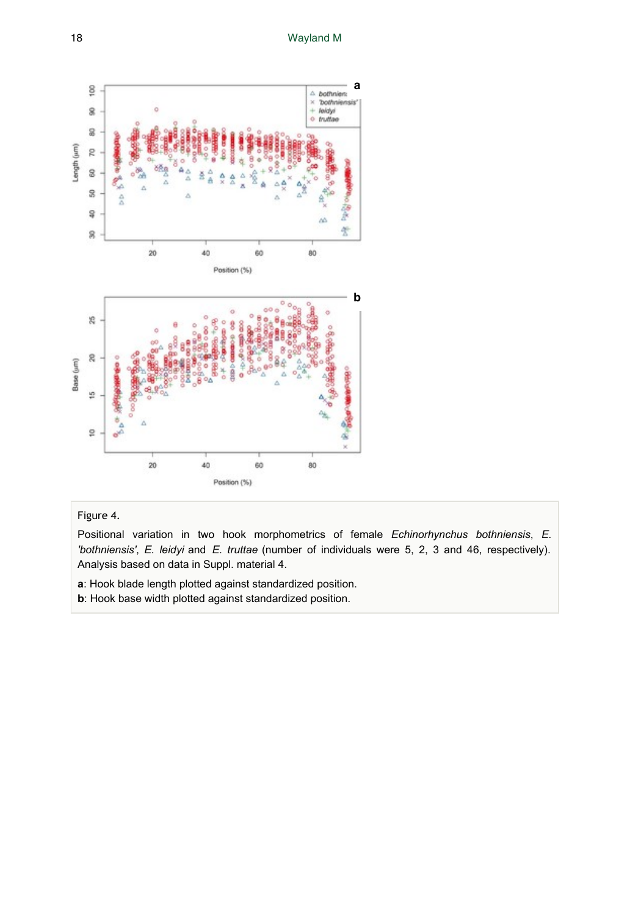

# Figure 4.

Positional variation in two hook morphometrics of female *Echinorhynchus bothniensis*, *E. 'bothniensis'*, *E. leidyi* and *E. truttae* (number of individuals were 5, 2, 3 and 46, respectively). Analysis based on data in Suppl. material 4.

- **a**: Hook blade length plotted against standardized position.
- **b**: Hook base width plotted against standardized position.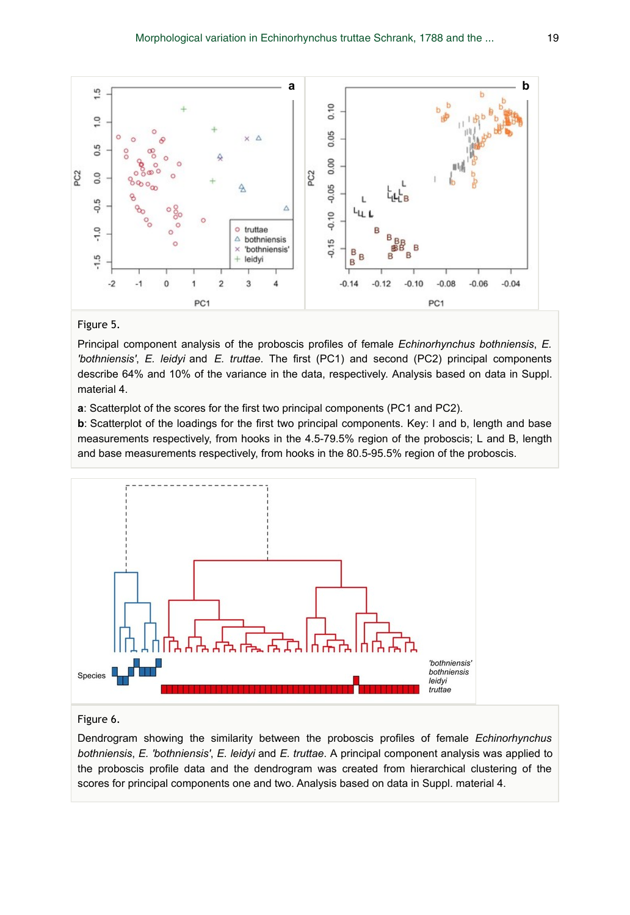

#### Figure 5.

Principal component analysis of the proboscis profiles of female *Echinorhynchus bothniensis*, *E. 'bothniensis'*, *E. leidyi* and *E. truttae*. The first (PC1) and second (PC2) principal components describe 64% and 10% of the variance in the data, respectively. Analysis based on data in Suppl. material 4.

**a**: Scatterplot of the scores for the first two principal components (PC1 and PC2).

**b**: Scatterplot of the loadings for the first two principal components. Key: l and b, length and base measurements respectively, from hooks in the 4.5-79.5% region of the proboscis; L and B, length and base measurements respectively, from hooks in the 80.5-95.5% region of the proboscis.



#### Figure 6.

Dendrogram showing the similarity between the proboscis profiles of female *Echinorhynchus bothniensis*, *E. 'bothniensis'*, *E. leidyi* and *E. truttae*. A principal component analysis was applied to the proboscis profile data and the dendrogram was created from hierarchical clustering of the scores for principal components one and two. Analysis based on data in Suppl. material 4.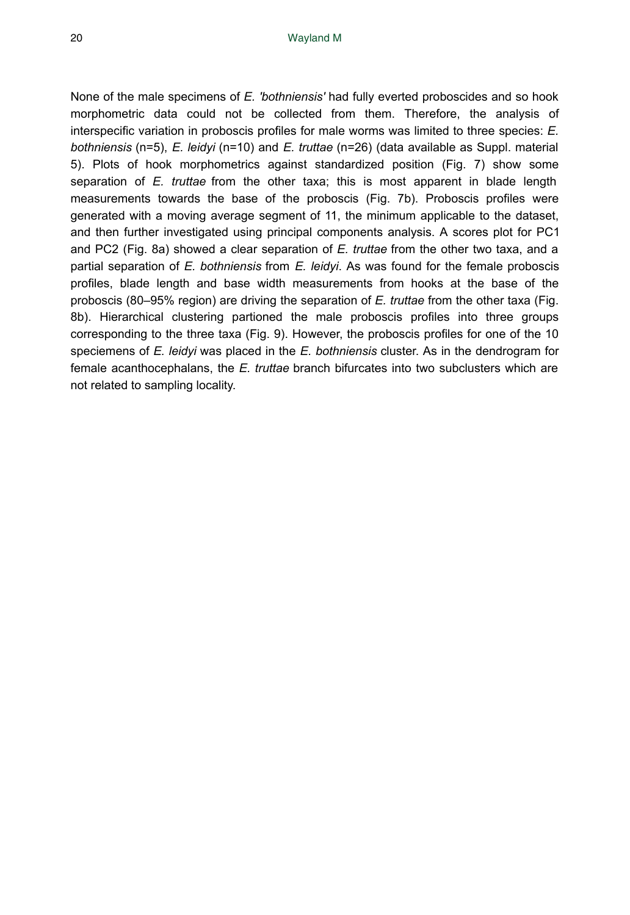None of the male specimens of *E. 'bothniensis'* had fully everted proboscides and so hook morphometric data could not be collected from them. Therefore, the analysis of interspecific variation in proboscis profiles for male worms was limited to three species: *E. bothniensis* (n=5), *E. leidyi* (n=10) and *E. truttae* (n=26) (data available as Suppl. material 5). Plots of hook morphometrics against standardized position (Fig. 7) show some separation of *E. truttae* from the other taxa; this is most apparent in blade length measurements towards the base of the proboscis (Fig. 7b). Proboscis profiles were generated with a moving average segment of 11, the minimum applicable to the dataset, and then further investigated using principal components analysis. A scores plot for PC1 and PC2 (Fig. 8a) showed a clear separation of *E. truttae* from the other two taxa, and a partial separation of *E. bothniensis* from *E. leidyi*. As was found for the female proboscis profiles, blade length and base width measurements from hooks at the base of the proboscis (80–95% region) are driving the separation of *E. truttae* from the other taxa (Fig. 8b). Hierarchical clustering partioned the male proboscis profiles into three groups corresponding to the three taxa (Fig. 9). However, the proboscis profiles for one of the 10 speciemens of *E. leidyi* was placed in the *E. bothniensis* cluster. As in the dendrogram for female acanthocephalans, the *E. truttae* branch bifurcates into two subclusters which are not related to sampling locality.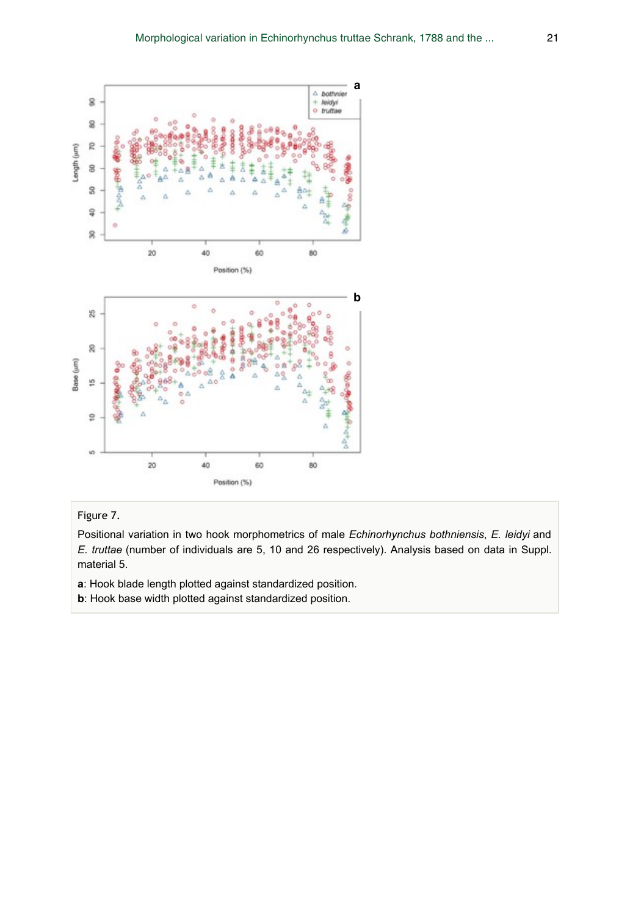

# Figure 7.

Positional variation in two hook morphometrics of male *Echinorhynchus bothniensis*, *E. leidyi* and *E. truttae* (number of individuals are 5, 10 and 26 respectively). Analysis based on data in Suppl. material 5.

**a**: Hook blade length plotted against standardized position.

**b**: Hook base width plotted against standardized position.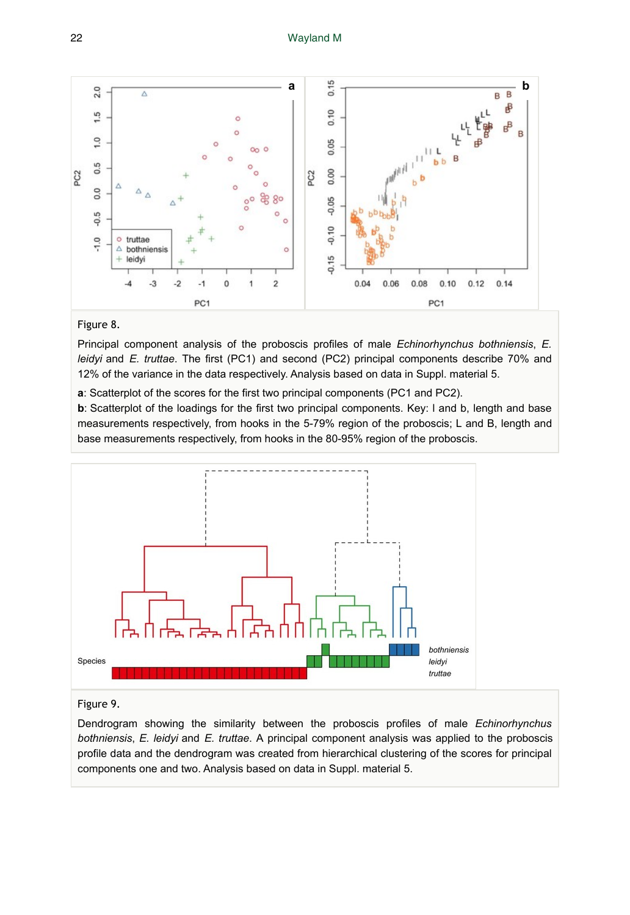#### 22 Wayland M



#### Figure 8.

Principal component analysis of the proboscis profiles of male *Echinorhynchus bothniensis*, *E. leidyi* and *E. truttae*. The first (PC1) and second (PC2) principal components describe 70% and 12% of the variance in the data respectively. Analysis based on data in Suppl. material 5.

**a**: Scatterplot of the scores for the first two principal components (PC1 and PC2).

**b**: Scatterplot of the loadings for the first two principal components. Key: l and b, length and base measurements respectively, from hooks in the 5-79% region of the proboscis; L and B, length and base measurements respectively, from hooks in the 80-95% region of the proboscis.



#### Figure 9.

Dendrogram showing the similarity between the proboscis profiles of male *Echinorhynchus bothniensis*, *E. leidyi* and *E. truttae*. A principal component analysis was applied to the proboscis profile data and the dendrogram was created from hierarchical clustering of the scores for principal components one and two. Analysis based on data in Suppl. material 5.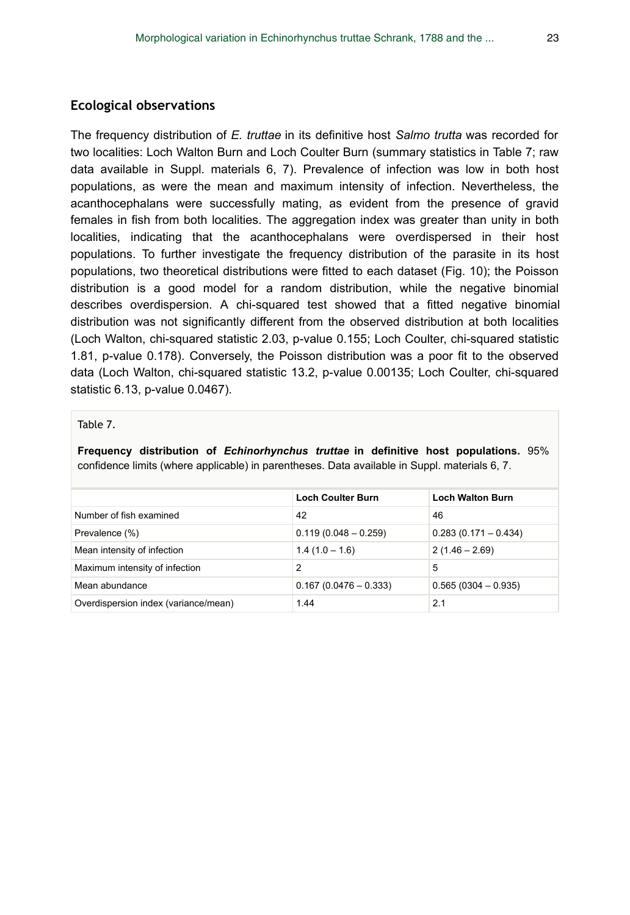The frequency distribution of *E. truttae* in its definitive host *Salmo trutta* was recorded for two localities: Loch Walton Burn and Loch Coulter Burn (summary statistics in Table 7; raw data available in Suppl. materials 6, 7). Prevalence of infection was low in both host populations, as were the mean and maximum intensity of infection. Nevertheless, the acanthocephalans were successfully mating, as evident from the presence of gravid females in fish from both localities. The aggregation index was greater than unity in both localities, indicating that the acanthocephalans were overdispersed in their host populations. To further investigate the frequency distribution of the parasite in its host populations, two theoretical distributions were fitted to each dataset (Fig. 10); the Poisson distribution is a good model for a random distribution, while the negative binomial describes overdispersion. A chi-squared test showed that a fitted negative binomial distribution was not significantly different from the observed distribution at both localities (Loch Walton, chi-squared statistic 2.03, p-value 0.155; Loch Coulter, chi-squared statistic 1.81, p-value 0.178). Conversely, the Poisson distribution was a poor fit to the observed data (Loch Walton, chi-squared statistic 13.2, p-value 0.00135; Loch Coulter, chi-squared statistic 6.13, p-value 0.0467).

#### Table 7.

**Frequency distribution of** *Echinorhynchus truttae* **in definitive host populations.** 95% confidence limits (where applicable) in parentheses. Data available in Suppl. materials 6, 7.

|                                      | <b>Loch Coulter Burn</b> | <b>Loch Walton Burn</b> |  |  |  |  |
|--------------------------------------|--------------------------|-------------------------|--|--|--|--|
| Number of fish examined              | 42                       | 46                      |  |  |  |  |
| Prevalence (%)                       | $0.119(0.048 - 0.259)$   | $0.283(0.171 - 0.434)$  |  |  |  |  |
| Mean intensity of infection          | $1.4(1.0 - 1.6)$         | $2(1.46 - 2.69)$        |  |  |  |  |
| Maximum intensity of infection       | 2                        | 5                       |  |  |  |  |
| Mean abundance                       | $0.167(0.0476 - 0.333)$  | $0.565(0304 - 0.935)$   |  |  |  |  |
| Overdispersion index (variance/mean) | 1.44                     | 2.1                     |  |  |  |  |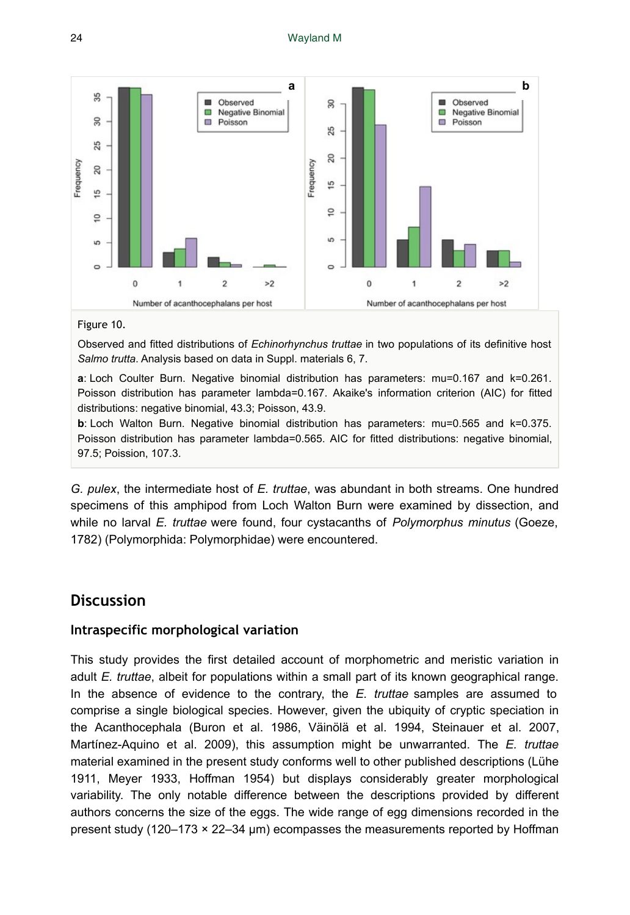#### 24 Wayland M



#### Figure 10.

Observed and fitted distributions of *Echinorhynchus truttae* in two populations of its definitive host *Salmo trutta*. Analysis based on data in Suppl. materials 6, 7.

**a**: Loch Coulter Burn. Negative binomial distribution has parameters: mu=0.167 and k=0.261. Poisson distribution has parameter lambda=0.167. Akaike's information criterion (AIC) for fitted distributions: negative binomial, 43.3; Poisson, 43.9.

**b**: Loch Walton Burn. Negative binomial distribution has parameters: mu=0.565 and k=0.375. Poisson distribution has parameter lambda=0.565. AIC for fitted distributions: negative binomial, 97.5; Poission, 107.3.

*G. pulex*, the intermediate host of *E. truttae*, was abundant in both streams. One hundred specimens of this amphipod from Loch Walton Burn were examined by dissection, and while no larval *E. truttae* were found, four cystacanths of *Polymorphus minutus* (Goeze, 1782) (Polymorphida: Polymorphidae) were encountered.

# **Discussion**

### **Intraspecific morphological variation**

This study provides the first detailed account of morphometric and meristic variation in adult *E. truttae*, albeit for populations within a small part of its known geographical range. In the absence of evidence to the contrary, the *E. truttae* samples are assumed to comprise a single biological species. However, given the ubiquity of cryptic speciation in the Acanthocephala (Buron et al. 1986, Väinölä et al. 1994, Steinauer et al. 2007, Martínez-Aquino et al. 2009), this assumption might be unwarranted. The *E. truttae* material examined in the present study conforms well to other published descriptions (Lühe 1911, Meyer 1933, Hoffman 1954) but displays considerably greater morphological variability. The only notable difference between the descriptions provided by different authors concerns the size of the eggs. The wide range of egg dimensions recorded in the present study (120–173 × 22–34 µm) ecompasses the measurements reported by Hoffman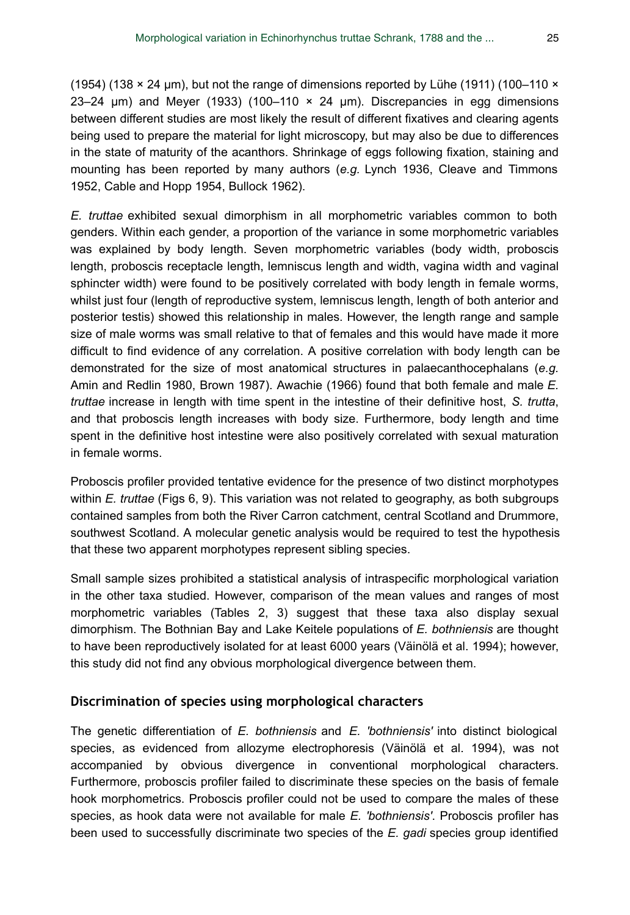(1954) (138  $\times$  24 µm), but not the range of dimensions reported by Lühe (1911) (100–110  $\times$ 23–24  $\mu$ m) and Meyer (1933) (100–110  $\times$  24  $\mu$ m). Discrepancies in egg dimensions between different studies are most likely the result of different fixatives and clearing agents being used to prepare the material for light microscopy, but may also be due to differences in the state of maturity of the acanthors. Shrinkage of eggs following fixation, staining and mounting has been reported by many authors (*e.g.* Lynch 1936, Cleave and Timmons 1952, Cable and Hopp 1954, Bullock 1962).

*E. truttae* exhibited sexual dimorphism in all morphometric variables common to both genders. Within each gender, a proportion of the variance in some morphometric variables was explained by body length. Seven morphometric variables (body width, proboscis length, proboscis receptacle length, lemniscus length and width, vagina width and vaginal sphincter width) were found to be positively correlated with body length in female worms, whilst just four (length of reproductive system, lemniscus length, length of both anterior and posterior testis) showed this relationship in males. However, the length range and sample size of male worms was small relative to that of females and this would have made it more difficult to find evidence of any correlation. A positive correlation with body length can be demonstrated for the size of most anatomical structures in palaecanthocephalans (*e.g.* Amin and Redlin 1980, Brown 1987). Awachie (1966) found that both female and male *E. truttae* increase in length with time spent in the intestine of their definitive host, *S. trutta*, and that proboscis length increases with body size. Furthermore, body length and time spent in the definitive host intestine were also positively correlated with sexual maturation in female worms.

Proboscis profiler provided tentative evidence for the presence of two distinct morphotypes within *E. truttae* (Figs 6, 9). This variation was not related to geography, as both subgroups contained samples from both the River Carron catchment, central Scotland and Drummore, southwest Scotland. A molecular genetic analysis would be required to test the hypothesis that these two apparent morphotypes represent sibling species.

Small sample sizes prohibited a statistical analysis of intraspecific morphological variation in the other taxa studied. However, comparison of the mean values and ranges of most morphometric variables (Tables 2, 3) suggest that these taxa also display sexual dimorphism. The Bothnian Bay and Lake Keitele populations of *E. bothniensis* are thought to have been reproductively isolated for at least 6000 years (Väinölä et al. 1994); however, this study did not find any obvious morphological divergence between them.

# **Discrimination of species using morphological characters**

The genetic differentiation of *E. bothniensis* and *E. 'bothniensis'* into distinct biological species, as evidenced from allozyme electrophoresis (Väinölä et al. 1994), was not accompanied by obvious divergence in conventional morphological characters. Furthermore, proboscis profiler failed to discriminate these species on the basis of female hook morphometrics. Proboscis profiler could not be used to compare the males of these species, as hook data were not available for male *E. 'bothniensis'*. Proboscis profiler has been used to successfully discriminate two species of the *E. gadi* species group identified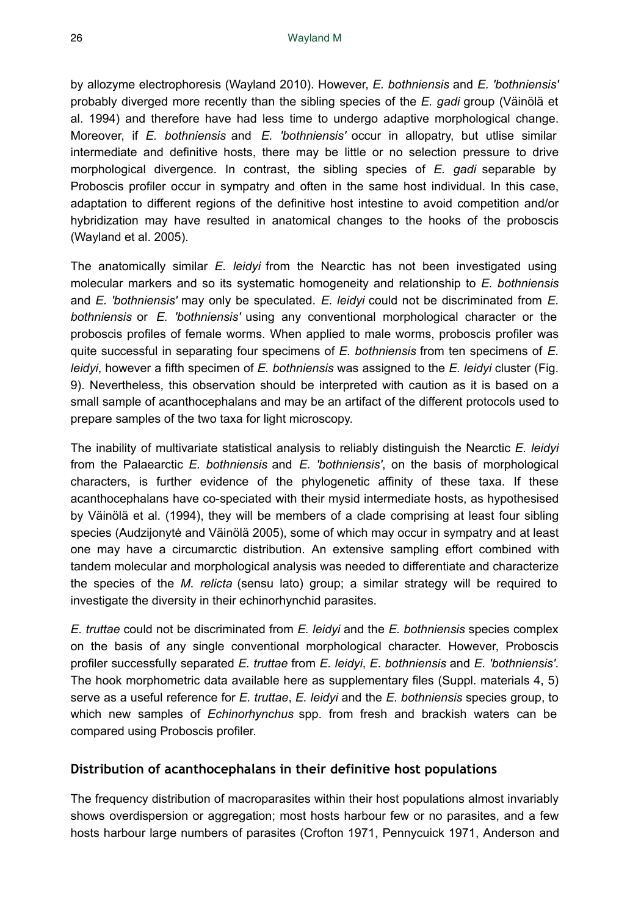by allozyme electrophoresis (Wayland 2010). However, *E. bothniensis* and *E. 'bothniensis'* probably diverged more recently than the sibling species of the *E. gadi* group (Väinölä et al. 1994) and therefore have had less time to undergo adaptive morphological change. Moreover, if *E. bothniensis* and *E. 'bothniensis'* occur in allopatry, but utlise similar intermediate and definitive hosts, there may be little or no selection pressure to drive morphological divergence. In contrast, the sibling species of *E. gadi* separable by Proboscis profiler occur in sympatry and often in the same host individual. In this case, adaptation to different regions of the definitive host intestine to avoid competition and/or hybridization may have resulted in anatomical changes to the hooks of the proboscis (Wayland et al. 2005).

The anatomically similar *E. leidyi* from the Nearctic has not been investigated using molecular markers and so its systematic homogeneity and relationship to *E. bothniensis* and *E. 'bothniensis'* may only be speculated. *E. leidyi* could not be discriminated from *E. bothniensis* or *E. 'bothniensis'* using any conventional morphological character or the proboscis profiles of female worms. When applied to male worms, proboscis profiler was quite successful in separating four specimens of *E. bothniensis* from ten specimens of *E. leidyi*, however a fifth specimen of *E. bothniensis* was assigned to the *E. leidyi* cluster (Fig. 9). Nevertheless, this observation should be interpreted with caution as it is based on a small sample of acanthocephalans and may be an artifact of the different protocols used to prepare samples of the two taxa for light microscopy.

The inability of multivariate statistical analysis to reliably distinguish the Nearctic *E. leidyi* from the Palaearctic *E. bothniensis* and *E. 'bothniensis'*, on the basis of morphological characters, is further evidence of the phylogenetic affinity of these taxa. If these acanthocephalans have co-speciated with their mysid intermediate hosts, as hypothesised by Väinölä et al. (1994), they will be members of a clade comprising at least four sibling species (Audzijonytė and Väinölä 2005), some of which may occur in sympatry and at least one may have a circumarctic distribution. An extensive sampling effort combined with tandem molecular and morphological analysis was needed to differentiate and characterize the species of the *M. relicta* (sensu lato) group; a similar strategy will be required to investigate the diversity in their echinorhynchid parasites.

*E. truttae* could not be discriminated from *E. leidyi* and the *E. bothniensis* species complex on the basis of any single conventional morphological character. However, Proboscis profiler successfully separated *E. truttae* from *E. leidyi*, *E. bothniensis* and *E. 'bothniensis'*. The hook morphometric data available here as supplementary files (Suppl. materials 4, 5) serve as a useful reference for *E. truttae*, *E. leidyi* and the *E. bothniensis* species group, to which new samples of *Echinorhynchus* spp. from fresh and brackish waters can be compared using Proboscis profiler.

# **Distribution of acanthocephalans in their definitive host populations**

The frequency distribution of macroparasites within their host populations almost invariably shows overdispersion or aggregation; most hosts harbour few or no parasites, and a few hosts harbour large numbers of parasites (Crofton 1971, Pennycuick 1971, Anderson and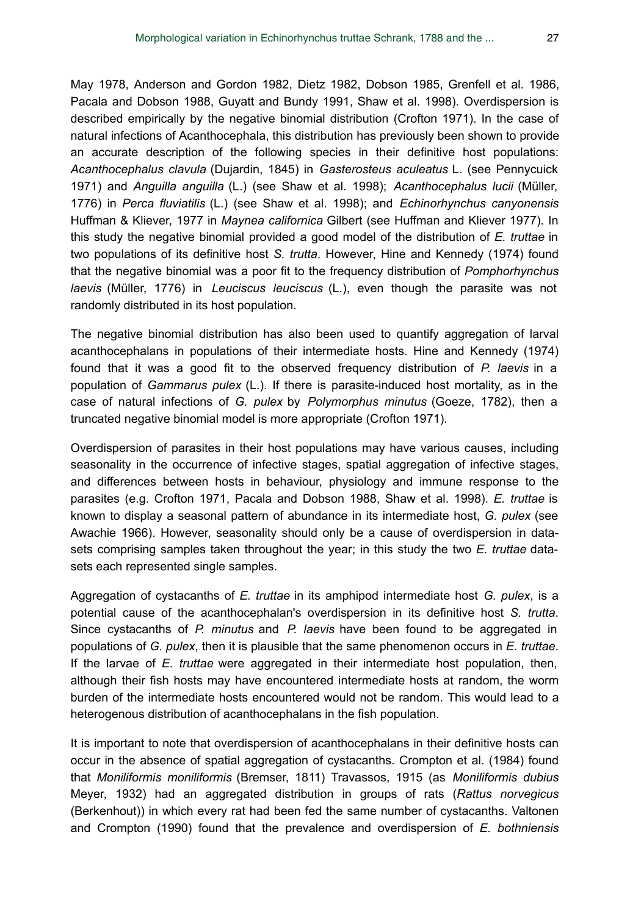May 1978, Anderson and Gordon 1982, Dietz 1982, Dobson 1985, Grenfell et al. 1986, Pacala and Dobson 1988, Guyatt and Bundy 1991, Shaw et al. 1998). Overdispersion is described empirically by the negative binomial distribution (Crofton 1971). In the case of natural infections of Acanthocephala, this distribution has previously been shown to provide an accurate description of the following species in their definitive host populations: *Acanthocephalus clavula* (Dujardin, 1845) in *Gasterosteus aculeatus* L. (see Pennycuick 1971) and *Anguilla anguilla* (L.) (see Shaw et al. 1998); *Acanthocephalus lucii* (Müller, 1776) in *Perca fluviatilis* (L.) (see Shaw et al. 1998); and *Echinorhynchus canyonensis* Huffman & Kliever, 1977 in *Maynea californica* Gilbert (see Huffman and Kliever 1977). In this study the negative binomial provided a good model of the distribution of *E. truttae* in two populations of its definitive host *S. trutta*. However, Hine and Kennedy (1974) found that the negative binomial was a poor fit to the frequency distribution of *Pomphorhynchus laevis* (Müller, 1776) in *Leuciscus leuciscus* (L.), even though the parasite was not randomly distributed in its host population.

The negative binomial distribution has also been used to quantify aggregation of larval acanthocephalans in populations of their intermediate hosts. Hine and Kennedy (1974) found that it was a good fit to the observed frequency distribution of *P. laevis* in a population of *Gammarus pulex* (L.). If there is parasite-induced host mortality, as in the case of natural infections of *G. pulex* by *Polymorphus minutus* (Goeze, 1782), then a truncated negative binomial model is more appropriate (Crofton 1971).

Overdispersion of parasites in their host populations may have various causes, including seasonality in the occurrence of infective stages, spatial aggregation of infective stages, and differences between hosts in behaviour, physiology and immune response to the parasites (e.g. Crofton 1971, Pacala and Dobson 1988, Shaw et al. 1998). *E. truttae* is known to display a seasonal pattern of abundance in its intermediate host, *G. pulex* (see Awachie 1966). However, seasonality should only be a cause of overdispersion in datasets comprising samples taken throughout the year; in this study the two *E. truttae* datasets each represented single samples.

Aggregation of cystacanths of *E. truttae* in its amphipod intermediate host *G. pulex*, is a potential cause of the acanthocephalan's overdispersion in its definitive host *S. trutta*. Since cystacanths of *P. minutus* and *P. laevis* have been found to be aggregated in populations of *G. pulex*, then it is plausible that the same phenomenon occurs in *E. truttae*. If the larvae of *E. truttae* were aggregated in their intermediate host population, then, although their fish hosts may have encountered intermediate hosts at random, the worm burden of the intermediate hosts encountered would not be random. This would lead to a heterogenous distribution of acanthocephalans in the fish population.

It is important to note that overdispersion of acanthocephalans in their definitive hosts can occur in the absence of spatial aggregation of cystacanths. Crompton et al. (1984) found that *Moniliformis moniliformis* (Bremser, 1811) Travassos, 1915 (as *Moniliformis dubius* Meyer, 1932) had an aggregated distribution in groups of rats (*Rattus norvegicus* (Berkenhout)) in which every rat had been fed the same number of cystacanths. Valtonen and Crompton (1990) found that the prevalence and overdispersion of *E. bothniensis*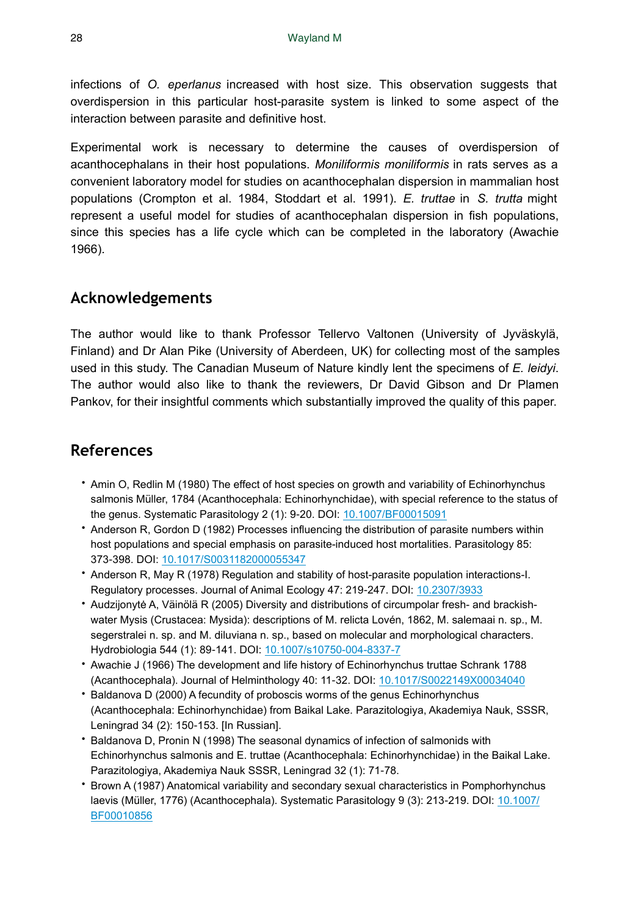infections of *O. eperlanus* increased with host size. This observation suggests that overdispersion in this particular host-parasite system is linked to some aspect of the interaction between parasite and definitive host.

Experimental work is necessary to determine the causes of overdispersion of acanthocephalans in their host populations. *Moniliformis moniliformis* in rats serves as a convenient laboratory model for studies on acanthocephalan dispersion in mammalian host populations (Crompton et al. 1984, Stoddart et al. 1991). *E. truttae* in *S. trutta* might represent a useful model for studies of acanthocephalan dispersion in fish populations, since this species has a life cycle which can be completed in the laboratory (Awachie 1966).

# **Acknowledgements**

The author would like to thank Professor Tellervo Valtonen (University of Jyväskylä, Finland) and Dr Alan Pike (University of Aberdeen, UK) for collecting most of the samples used in this study. The Canadian Museum of Nature kindly lent the specimens of *E. leidyi*. The author would also like to thank the reviewers, Dr David Gibson and Dr Plamen Pankov, for their insightful comments which substantially improved the quality of this paper.

# **References**

- Amin O, Redlin M (1980) The effect of host species on growth and variability of Echinorhynchus salmonis Müller, 1784 (Acanthocephala: Echinorhynchidae), with special reference to the status of the genus. Systematic Parasitology 2 (1): 9‑20. DOI: [10.1007/BF00015091](http://dx.doi.org/10.1007/BF00015091)
- Anderson R, Gordon D (1982) Processes influencing the distribution of parasite numbers within host populations and special emphasis on parasite-induced host mortalities. Parasitology 85: 373‑398. DOI: [10.1017/S0031182000055347](http://dx.doi.org/10.1017/S0031182000055347)
- Anderson R, May R (1978) Regulation and stability of host-parasite population interactions-I. Regulatory processes. Journal of Animal Ecology 47: 219‑247. DOI: [10.2307/3933](http://dx.doi.org/10.2307/3933)
- Audzijonytė A, Väinölä R (2005) Diversity and distributions of circumpolar fresh- and brackishwater Mysis (Crustacea: Mysida): descriptions of M. relicta Lovén, 1862, M. salemaai n. sp., M. segerstralei n. sp. and M. diluviana n. sp., based on molecular and morphological characters. Hydrobiologia 544 (1): 89‑141. DOI: [10.1007/s10750-004-8337-7](http://dx.doi.org/10.1007/s10750-004-8337-7)
- Awachie J (1966) The development and life history of Echinorhynchus truttae Schrank 1788 (Acanthocephala). Journal of Helminthology 40: 11‑32. DOI: [10.1017/S0022149X00034040](http://dx.doi.org/10.1017/S0022149X00034040)
- Baldanova D (2000) A fecundity of proboscis worms of the genus Echinorhynchus (Acanthocephala: Echinorhynchidae) from Baikal Lake. Parazitologiya, Akademiya Nauk, SSSR, Leningrad 34 (2): 150‑153. [In Russian].
- Baldanova D, Pronin N (1998) The seasonal dynamics of infection of salmonids with Echinorhynchus salmonis and E. truttae (Acanthocephala: Echinorhynchidae) in the Baikal Lake. Parazitologiya, Akademiya Nauk SSSR, Leningrad 32 (1): 71‑78.
- Brown A (1987) Anatomical variability and secondary sexual characteristics in Pomphorhynchus laevis (Müller, 1776) (Acanthocephala). Systematic Parasitology 9 (3): 213‑219. DOI: [10.1007/](http://dx.doi.org/10.1007/BF00010856) [BF00010856](http://dx.doi.org/10.1007/BF00010856)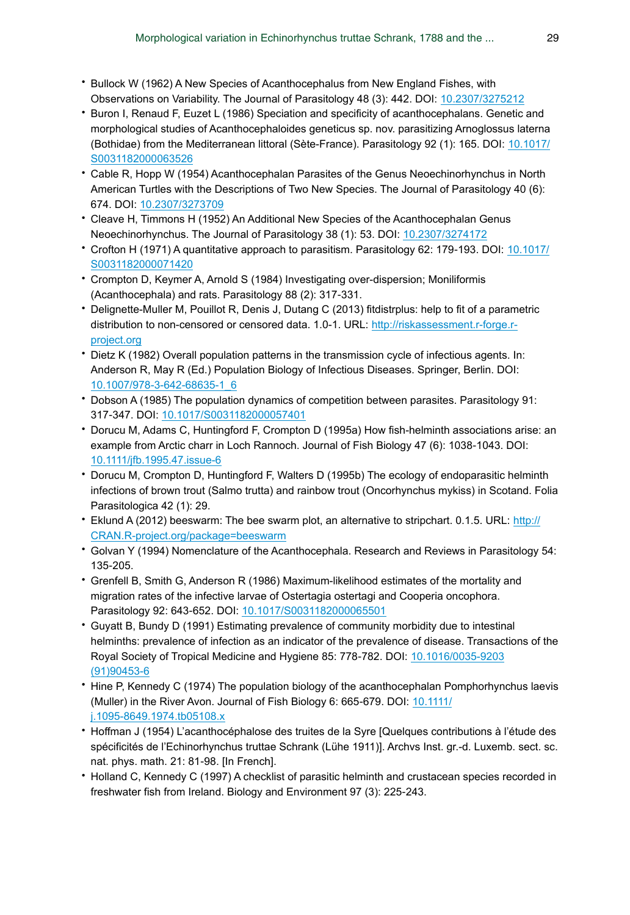- Bullock W (1962) A New Species of Acanthocephalus from New England Fishes, with Observations on Variability. The Journal of Parasitology 48 (3): 442. DOI: [10.2307/3275212](http://dx.doi.org/10.2307/3275212)
- Buron I, Renaud F, Euzet L (1986) Speciation and specificity of acanthocephalans. Genetic and morphological studies of Acanthocephaloides geneticus sp. nov. parasitizing Arnoglossus laterna (Bothidae) from the Mediterranean littoral (Sète-France). Parasitology 92 (1): 165. DOI: [10.1017/](http://dx.doi.org/10.1017/S0031182000063526) [S0031182000063526](http://dx.doi.org/10.1017/S0031182000063526)
- Cable R, Hopp W (1954) Acanthocephalan Parasites of the Genus Neoechinorhynchus in North American Turtles with the Descriptions of Two New Species. The Journal of Parasitology 40 (6): 674. DOI: [10.2307/3273709](http://dx.doi.org/10.2307/3273709)
- Cleave H, Timmons H (1952) An Additional New Species of the Acanthocephalan Genus Neoechinorhynchus. The Journal of Parasitology 38 (1): 53. DOI: [10.2307/3274172](http://dx.doi.org/10.2307/3274172)
- Crofton H (1971) A quantitative approach to parasitism. Parasitology 62: 179-193. DOI: [10.1017/](http://dx.doi.org/10.1017/S0031182000071420) [S0031182000071420](http://dx.doi.org/10.1017/S0031182000071420)
- Crompton D, Keymer A, Arnold S (1984) Investigating over-dispersion; Moniliformis (Acanthocephala) and rats. Parasitology 88 (2): 317‑331.
- Delignette-Muller M, Pouillot R, Denis J, Dutang C (2013) fitdistrplus: help to fit of a parametric distribution to non-censored or censored data. 1.0-1. URL: [http://riskassessment.r-forge.r](http://riskassessment.r-forge.r-project.org/)[project.org](http://riskassessment.r-forge.r-project.org/)
- Dietz K (1982) Overall population patterns in the transmission cycle of infectious agents. In: Anderson R, May R (Ed.) Population Biology of Infectious Diseases. Springer, Berlin. DOI: [10.1007/978-3-642-68635-1\\_6](http://dx.doi.org/10.1007/978-3-642-68635-1_6)
- Dobson A (1985) The population dynamics of competition between parasites. Parasitology 91: 317‑347. DOI: [10.1017/S0031182000057401](http://dx.doi.org/10.1017/S0031182000057401)
- Dorucu M, Adams C, Huntingford F, Crompton D (1995a) How fish-helminth associations arise: an example from Arctic charr in Loch Rannoch. Journal of Fish Biology 47 (6): 1038-1043. DOI: [10.1111/jfb.1995.47.issue-6](http://dx.doi.org/10.1111/jfb.1995.47.issue-6)
- Dorucu M, Crompton D, Huntingford F, Walters D (1995b) The ecology of endoparasitic helminth infections of brown trout (Salmo trutta) and rainbow trout (Oncorhynchus mykiss) in Scotand. Folia Parasitologica 42 (1): 29.
- Eklund A (2012) beeswarm: The bee swarm plot, an alternative to stripchart. 0.1.5. URL: [http://](http://cran.r-project.org/package=beeswarm) [CRAN.R-project.org/package=beeswarm](http://cran.r-project.org/package=beeswarm)
- Golvan Y (1994) Nomenclature of the Acanthocephala. Research and Reviews in Parasitology 54: 135‑205.
- Grenfell B, Smith G, Anderson R (1986) Maximum-likelihood estimates of the mortality and migration rates of the infective larvae of Ostertagia ostertagi and Cooperia oncophora. Parasitology 92: 643‑652. DOI: [10.1017/S0031182000065501](http://dx.doi.org/10.1017/S0031182000065501)
- Guyatt B, Bundy D (1991) Estimating prevalence of community morbidity due to intestinal helminths: prevalence of infection as an indicator of the prevalence of disease. Transactions of the Royal Society of Tropical Medicine and Hygiene 85: 778‑782. DOI: [10.1016/0035-9203](http://dx.doi.org/10.1016/0035-9203%2891%2990453-6) [\(91\)90453-6](http://dx.doi.org/10.1016/0035-9203%2891%2990453-6)
- Hine P, Kennedy C (1974) The population biology of the acanthocephalan Pomphorhynchus laevis (Muller) in the River Avon. Journal of Fish Biology 6: 665‑679. DOI: [10.1111/](http://dx.doi.org/10.1111/j.1095-8649.1974.tb05108.x) [j.1095-8649.1974.tb05108.x](http://dx.doi.org/10.1111/j.1095-8649.1974.tb05108.x)
- Hoffman J (1954) L'acanthocéphalose des truites de la Syre [Quelques contributions à l'étude des spécificités de l'Echinorhynchus truttae Schrank (Lühe 1911)]. Archvs Inst. gr.-d. Luxemb. sect. sc. nat. phys. math. 21: 81‑98. [In French].
- Holland C, Kennedy C (1997) A checklist of parasitic helminth and crustacean species recorded in freshwater fish from Ireland. Biology and Environment 97 (3): 225‑243.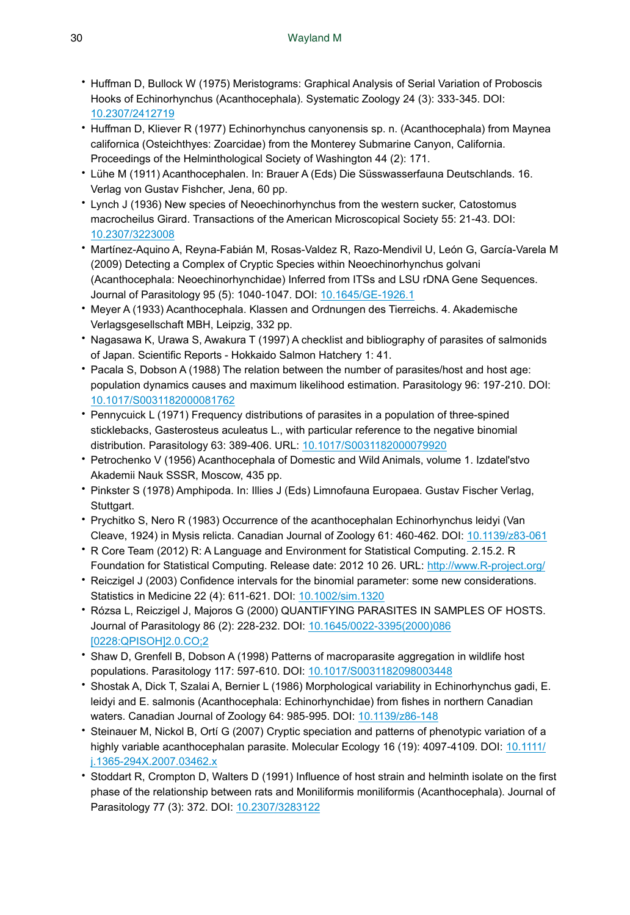- Huffman D, Bullock W (1975) Meristograms: Graphical Analysis of Serial Variation of Proboscis Hooks of Echinorhynchus (Acanthocephala). Systematic Zoology 24 (3): 333‑345. DOI: [10.2307/2412719](http://dx.doi.org/10.2307/2412719)
- Huffman D, Kliever R (1977) Echinorhynchus canyonensis sp. n. (Acanthocephala) from Maynea californica (Osteichthyes: Zoarcidae) from the Monterey Submarine Canyon, California. Proceedings of the Helminthological Society of Washington 44 (2): 171.
- Lühe M (1911) Acanthocephalen. In: Brauer A (Eds) Die Süsswasserfauna Deutschlands. 16. Verlag von Gustav Fishcher, Jena, 60 pp.
- Lynch J (1936) New species of Neoechinorhynchus from the western sucker, Catostomus macrocheilus Girard. Transactions of the American Microscopical Society 55: 21‑43. DOI: [10.2307/3223008](http://dx.doi.org/10.2307/3223008)
- Martínez-Aquino A, Reyna-Fabián M, Rosas-Valdez R, Razo-Mendivil U, León G, García-Varela M (2009) Detecting a Complex of Cryptic Species within Neoechinorhynchus golvani (Acanthocephala: Neoechinorhynchidae) Inferred from ITSs and LSU rDNA Gene Sequences. Journal of Parasitology 95 (5): 1040‑1047. DOI: [10.1645/GE-1926.1](http://dx.doi.org/10.1645/GE-1926.1)
- Meyer A (1933) Acanthocephala. Klassen and Ordnungen des Tierreichs. 4. Akademische Verlagsgesellschaft MBH, Leipzig, 332 pp.
- Nagasawa K, Urawa S, Awakura T (1997) A checklist and bibliography of parasites of salmonids of Japan. Scientific Reports - Hokkaido Salmon Hatchery 1: 41.
- Pacala S, Dobson A (1988) The relation between the number of parasites/host and host age: population dynamics causes and maximum likelihood estimation. Parasitology 96: 197-210. DOI: [10.1017/S0031182000081762](http://dx.doi.org/10.1017/S0031182000081762)
- Pennycuick L (1971) Frequency distributions of parasites in a population of three-spined sticklebacks, Gasterosteus aculeatus L., with particular reference to the negative binomial distribution. Parasitology 63: 389‑406. URL: [10.1017/S0031182000079920](http://10.1017/S0031182000079920)
- Petrochenko V (1956) Acanthocephala of Domestic and Wild Animals, volume 1. Izdatel'stvo Akademii Nauk SSSR, Moscow, 435 pp.
- Pinkster S (1978) Amphipoda. In: Illies J (Eds) Limnofauna Europaea. Gustav Fischer Verlag, Stuttgart.
- Prychitko S, Nero R (1983) Occurrence of the acanthocephalan Echinorhynchus leidyi (Van Cleave, 1924) in Mysis relicta. Canadian Journal of Zoology 61: 460‑462. DOI: [10.1139/z83-061](http://dx.doi.org/10.1139/z83-061)
- R Core Team (2012) R: A Language and Environment for Statistical Computing. 2.15.2. R Foundation for Statistical Computing. Release date: 2012 10 26. URL: [http://www.R-project.org/](http://www.r-project.org/)
- Reiczigel J (2003) Confidence intervals for the binomial parameter: some new considerations. Statistics in Medicine 22 (4): 611‑621. DOI: [10.1002/sim.1320](http://dx.doi.org/10.1002/sim.1320)
- Rózsa L, Reiczigel J, Majoros G (2000) QUANTIFYING PARASITES IN SAMPLES OF HOSTS. Journal of Parasitology 86 (2): 228‑232. DOI: [10.1645/0022-3395\(2000\)086](http://dx.doi.org/10.1645/0022-3395%282000%29086%5B0228:QPISOH%5D2.0.CO;2) [\[0228:QPISOH\]2.0.CO;2](http://dx.doi.org/10.1645/0022-3395%282000%29086%5B0228:QPISOH%5D2.0.CO;2)
- Shaw D, Grenfell B, Dobson A (1998) Patterns of macroparasite aggregation in wildlife host populations. Parasitology 117: 597‑610. DOI: [10.1017/S0031182098003448](http://dx.doi.org/10.1017/S0031182098003448)
- Shostak A, Dick T, Szalai A, Bernier L (1986) Morphological variability in Echinorhynchus gadi, E. leidyi and E. salmonis (Acanthocephala: Echinorhynchidae) from fishes in northern Canadian waters. Canadian Journal of Zoology 64: 985‑995. DOI: [10.1139/z86-148](http://dx.doi.org/10.1139/z86-148)
- Steinauer M, Nickol B, Ortí G (2007) Cryptic speciation and patterns of phenotypic variation of a highly variable acanthocephalan parasite. Molecular Ecology 16 (19): 4097-4109. DOI: [10.1111/](http://dx.doi.org/10.1111/j.1365-294X.2007.03462.x) [j.1365-294X.2007.03462.x](http://dx.doi.org/10.1111/j.1365-294X.2007.03462.x)
- Stoddart R, Crompton D, Walters D (1991) Influence of host strain and helminth isolate on the first phase of the relationship between rats and Moniliformis moniliformis (Acanthocephala). Journal of Parasitology 77 (3): 372. DOI: [10.2307/3283122](http://dx.doi.org/10.2307/3283122)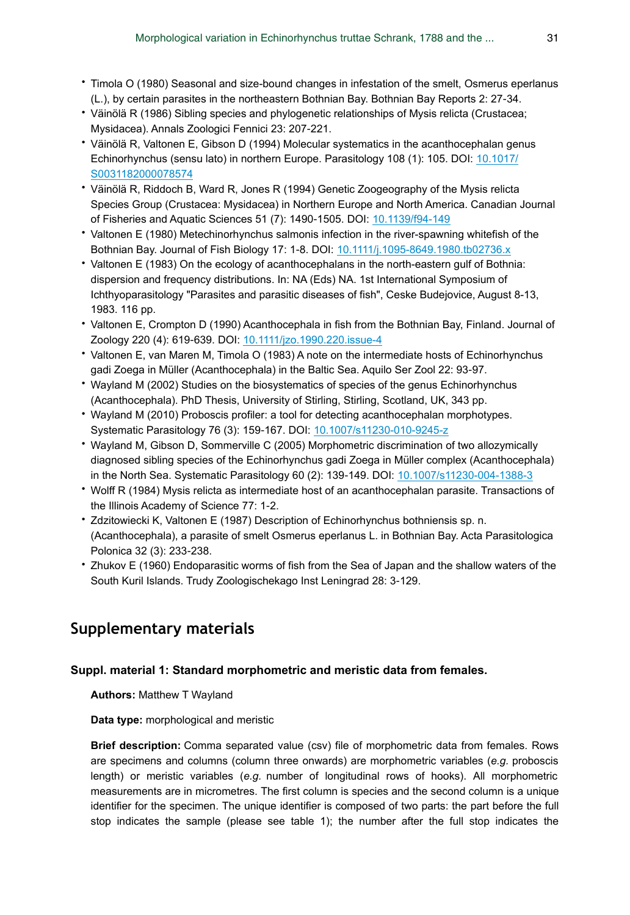- Timola O (1980) Seasonal and size-bound changes in infestation of the smelt, Osmerus eperlanus (L.), by certain parasites in the northeastern Bothnian Bay. Bothnian Bay Reports 2: 27‑34.
- Väinölä R (1986) Sibling species and phylogenetic relationships of Mysis relicta (Crustacea; Mysidacea). Annals Zoologici Fennici 23: 207‑221.
- Väinölä R, Valtonen E, Gibson D (1994) Molecular systematics in the acanthocephalan genus Echinorhynchus (sensu lato) in northern Europe. Parasitology 108 (1): 105. DOI: [10.1017/](http://dx.doi.org/10.1017/S0031182000078574) [S0031182000078574](http://dx.doi.org/10.1017/S0031182000078574)
- Väinölä R, Riddoch B, Ward R, Jones R (1994) Genetic Zoogeography of the Mysis relicta Species Group (Crustacea: Mysidacea) in Northern Europe and North America. Canadian Journal of Fisheries and Aquatic Sciences 51 (7): 1490‑1505. DOI: [10.1139/f94-149](http://dx.doi.org/10.1139/f94-149)
- Valtonen E (1980) Metechinorhynchus salmonis infection in the river-spawning whitefish of the Bothnian Bay. Journal of Fish Biology 17: 1‑8. DOI: [10.1111/j.1095-8649.1980.tb02736.x](http://dx.doi.org/10.1111/j.1095-8649.1980.tb02736.x)
- Valtonen E (1983) On the ecology of acanthocephalans in the north-eastern gulf of Bothnia: dispersion and frequency distributions. In: NA (Eds) NA. 1st International Symposium of Ichthyoparasitology "Parasites and parasitic diseases of fish", Ceske Budejovice, August 8-13, 1983. 116 pp.
- Valtonen E, Crompton D (1990) Acanthocephala in fish from the Bothnian Bay, Finland. Journal of Zoology 220 (4): 619‑639. DOI: [10.1111/jzo.1990.220.issue-4](http://dx.doi.org/10.1111/jzo.1990.220.issue-4)
- Valtonen E, van Maren M, Timola O (1983) A note on the intermediate hosts of Echinorhynchus gadi Zoega in Müller (Acanthocephala) in the Baltic Sea. Aquilo Ser Zool 22: 93-97.
- Wayland M (2002) Studies on the biosystematics of species of the genus Echinorhynchus (Acanthocephala). PhD Thesis, University of Stirling, Stirling, Scotland, UK, 343 pp.
- Wayland M (2010) Proboscis profiler: a tool for detecting acanthocephalan morphotypes. Systematic Parasitology 76 (3): 159‑167. DOI: [10.1007/s11230-010-9245-z](http://dx.doi.org/10.1007/s11230-010-9245-z)
- Wayland M, Gibson D, Sommerville C (2005) Morphometric discrimination of two allozymically diagnosed sibling species of the Echinorhynchus gadi Zoega in Müller complex (Acanthocephala) in the North Sea. Systematic Parasitology 60 (2): 139‑149. DOI: [10.1007/s11230-004-1388-3](http://dx.doi.org/10.1007/s11230-004-1388-3)
- Wolff R (1984) Mysis relicta as intermediate host of an acanthocephalan parasite. Transactions of the Illinois Academy of Science 77: 1‑2.
- Zdzitowiecki K, Valtonen E (1987) Description of Echinorhynchus bothniensis sp. n. (Acanthocephala), a parasite of smelt Osmerus eperlanus L. in Bothnian Bay. Acta Parasitologica Polonica 32 (3): 233‑238.
- Zhukov E (1960) Endoparasitic worms of fish from the Sea of Japan and the shallow waters of the South Kuril Islands. Trudy Zoologischekago Inst Leningrad 28: 3‑129.

# **Supplementary materials**

#### **Suppl. material 1: Standard morphometric and meristic data from females.**

**Authors:** Matthew T Wayland

**Data type:** morphological and meristic

**Brief description:** Comma separated value (csv) file of morphometric data from females. Rows are specimens and columns (column three onwards) are morphometric variables (*e.g.* proboscis length) or meristic variables (*e.g.* number of longitudinal rows of hooks). All morphometric measurements are in micrometres. The first column is species and the second column is a unique identifier for the specimen. The unique identifier is composed of two parts: the part before the full stop indicates the sample (please see table 1); the number after the full stop indicates the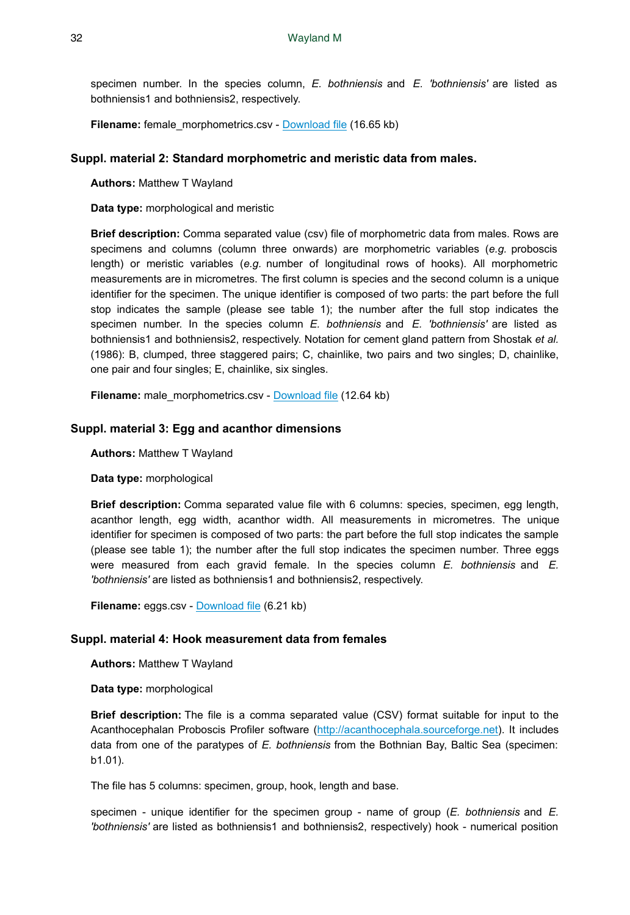specimen number. In the species column, *E. bothniensis* and *E. 'bothniensis'* are listed as bothniensis1 and bothniensis2, respectively.

**Filename:** female morphometrics.csv - [Download file](http://pwt.pensoft.net//getfile.php?filename=oo_2693.csv) (16.65 kb)

#### **Suppl. material 2: Standard morphometric and meristic data from males.**

**Authors:** Matthew T Wayland

**Data type:** morphological and meristic

**Brief description:** Comma separated value (csv) file of morphometric data from males. Rows are specimens and columns (column three onwards) are morphometric variables (*e.g.* proboscis length) or meristic variables (*e.g.* number of longitudinal rows of hooks). All morphometric measurements are in micrometres. The first column is species and the second column is a unique identifier for the specimen. The unique identifier is composed of two parts: the part before the full stop indicates the sample (please see table 1); the number after the full stop indicates the specimen number. In the species column *E. bothniensis* and *E. 'bothniensis'* are listed as bothniensis1 and bothniensis2, respectively. Notation for cement gland pattern from Shostak *et al.* (1986): B, clumped, three staggered pairs; C, chainlike, two pairs and two singles; D, chainlike, one pair and four singles; E, chainlike, six singles.

Filename: male\_morphometrics.csv - [Download file](http://pwt.pensoft.net//getfile.php?filename=oo_2983.csv) (12.64 kb)

#### **Suppl. material 3: Egg and acanthor dimensions**

**Authors:** Matthew T Wayland

**Data type:** morphological

**Brief description:** Comma separated value file with 6 columns: species, specimen, egg length, acanthor length, egg width, acanthor width. All measurements in micrometres. The unique identifier for specimen is composed of two parts: the part before the full stop indicates the sample (please see table 1); the number after the full stop indicates the specimen number. Three eggs were measured from each gravid female. In the species column *E. bothniensis* and *E. 'bothniensis'* are listed as bothniensis1 and bothniensis2, respectively.

**Filename:** eggs.csv - [Download file](http://pwt.pensoft.net//getfile.php?filename=oo_3365.csv) (6.21 kb)

#### **Suppl. material 4: Hook measurement data from females**

**Authors:** Matthew T Wayland

**Data type:** morphological

**Brief description:** The file is a comma separated value (CSV) format suitable for input to the Acanthocephalan Proboscis Profiler software ([http://acanthocephala.sourceforge.net](http://acanthocephala.sourceforge.net/)). It includes data from one of the paratypes of *E. bothniensis* from the Bothnian Bay, Baltic Sea (specimen: b1.01).

The file has 5 columns: specimen, group, hook, length and base.

specimen - unique identifier for the specimen group - name of group (*E. bothniensis* and *E. 'bothniensis'* are listed as bothniensis1 and bothniensis2, respectively) hook - numerical position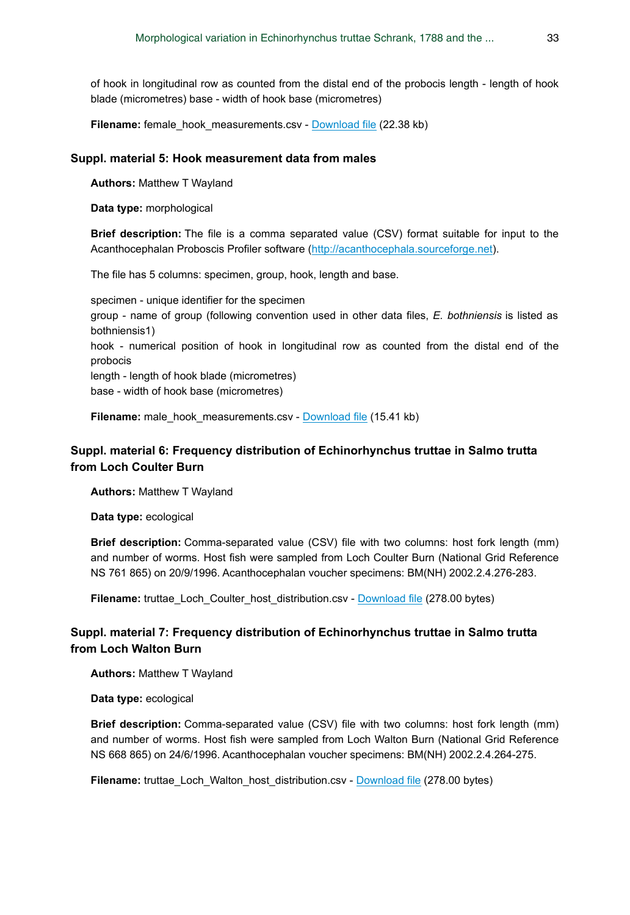of hook in longitudinal row as counted from the distal end of the probocis length - length of hook blade (micrometres) base - width of hook base (micrometres)

Filename: female\_hook\_measurements.csv - [Download file](http://pwt.pensoft.net//getfile.php?filename=oo_2743.csv) (22.38 kb)

#### **Suppl. material 5: Hook measurement data from males**

**Authors:** Matthew T Wayland

**Data type:** morphological

**Brief description:** The file is a comma separated value (CSV) format suitable for input to the Acanthocephalan Proboscis Profiler software ([http://acanthocephala.sourceforge.net\)](http://acanthocephala.sourceforge.net/).

The file has 5 columns: specimen, group, hook, length and base.

specimen - unique identifier for the specimen group - name of group (following convention used in other data files, *E. bothniensis* is listed as bothniensis1) hook - numerical position of hook in longitudinal row as counted from the distal end of the probocis length - length of hook blade (micrometres) base - width of hook base (micrometres)

**Filename:** male\_hook\_measurements.csv - [Download file](http://pwt.pensoft.net//getfile.php?filename=oo_2696.csv) (15.41 kb)

### **Suppl. material 6: Frequency distribution of Echinorhynchus truttae in Salmo trutta from Loch Coulter Burn**

**Authors:** Matthew T Wayland

**Data type:** ecological

**Brief description:** Comma-separated value (CSV) file with two columns: host fork length (mm) and number of worms. Host fish were sampled from Loch Coulter Burn (National Grid Reference NS 761 865) on 20/9/1996. Acanthocephalan voucher specimens: BM(NH) 2002.2.4.276-283.

**Filename:** truttae\_Loch\_Coulter\_host\_distribution.csv - [Download file](http://pwt.pensoft.net//getfile.php?filename=oo_3001.csv) (278.00 bytes)

# **Suppl. material 7: Frequency distribution of Echinorhynchus truttae in Salmo trutta from Loch Walton Burn**

**Authors:** Matthew T Wayland

**Data type:** ecological

**Brief description:** Comma-separated value (CSV) file with two columns: host fork length (mm) and number of worms. Host fish were sampled from Loch Walton Burn (National Grid Reference NS 668 865) on 24/6/1996. Acanthocephalan voucher specimens: BM(NH) 2002.2.4.264-275.

**Filename:** truttae Loch Walton host distribution.csv - [Download file](http://pwt.pensoft.net//getfile.php?filename=oo_3000.csv) (278.00 bytes)